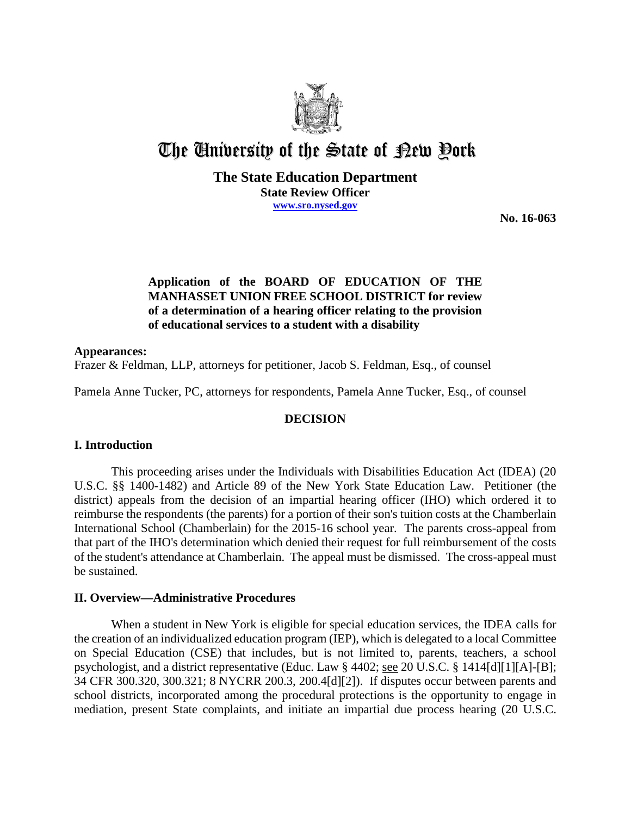

# The University of the State of Pew Pork

# **The State Education Department State Review Officer www.sro.nysed.gov**

**No. 16-063** 

# **Application of the BOARD OF EDUCATION OF THE MANHASSET UNION FREE SCHOOL DISTRICT for review of a determination of a hearing officer relating to the provision of educational services to a student with a disability**

#### **Appearances:**

Frazer & Feldman, LLP, attorneys for petitioner, Jacob S. Feldman, Esq., of counsel

Pamela Anne Tucker, PC, attorneys for respondents, Pamela Anne Tucker, Esq., of counsel

# **DECISION**

# **I. Introduction**

This proceeding arises under the Individuals with Disabilities Education Act (IDEA) (20 U.S.C. §§ 1400-1482) and Article 89 of the New York State Education Law. Petitioner (the district) appeals from the decision of an impartial hearing officer (IHO) which ordered it to reimburse the respondents (the parents) for a portion of their son's tuition costs at the Chamberlain International School (Chamberlain) for the 2015-16 school year. The parents cross-appeal from that part of the IHO's determination which denied their request for full reimbursement of the costs of the student's attendance at Chamberlain. The appeal must be dismissed. The cross-appeal must be sustained.

# **II. Overview—Administrative Procedures**

When a student in New York is eligible for special education services, the IDEA calls for the creation of an individualized education program (IEP), which is delegated to a local Committee on Special Education (CSE) that includes, but is not limited to, parents, teachers, a school psychologist, and a district representative (Educ. Law § 4402; see 20 U.S.C. § 1414[d][1][A]-[B]; 34 CFR 300.320, 300.321; 8 NYCRR 200.3, 200.4[d][2]). If disputes occur between parents and school districts, incorporated among the procedural protections is the opportunity to engage in mediation, present State complaints, and initiate an impartial due process hearing (20 U.S.C.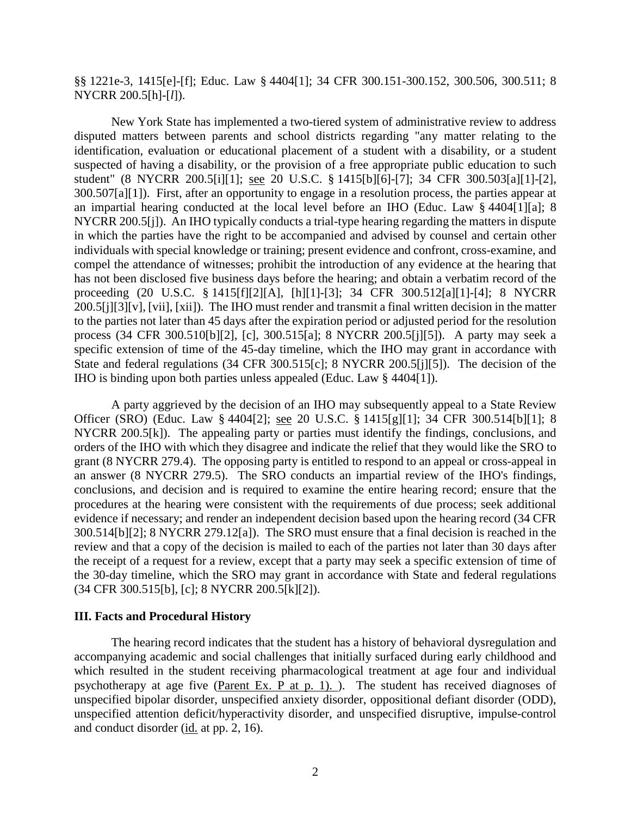# §§ 1221e-3, 1415[e]-[f]; Educ. Law § 4404[1]; 34 CFR 300.151-300.152, 300.506, 300.511; 8 NYCRR 200.5[h]-[*l*]).

New York State has implemented a two-tiered system of administrative review to address disputed matters between parents and school districts regarding "any matter relating to the identification, evaluation or educational placement of a student with a disability, or a student suspected of having a disability, or the provision of a free appropriate public education to such student" (8 NYCRR 200.5[i][1]; see 20 U.S.C. § 1415[b][6]-[7]; 34 CFR 300.503[a][1]-[2], 300.507[a][1]). First, after an opportunity to engage in a resolution process, the parties appear at an impartial hearing conducted at the local level before an IHO (Educ. Law § 4404[1][a]; 8 NYCRR 200.5[j]). An IHO typically conducts a trial-type hearing regarding the matters in dispute in which the parties have the right to be accompanied and advised by counsel and certain other individuals with special knowledge or training; present evidence and confront, cross-examine, and compel the attendance of witnesses; prohibit the introduction of any evidence at the hearing that has not been disclosed five business days before the hearing; and obtain a verbatim record of the proceeding (20 U.S.C. § 1415[f][2][A], [h][1]-[3]; 34 CFR 300.512[a][1]-[4]; 8 NYCRR 200.5[j][3][v], [vii], [xii]). The IHO must render and transmit a final written decision in the matter to the parties not later than 45 days after the expiration period or adjusted period for the resolution process (34 CFR 300.510[b][2], [c], 300.515[a]; 8 NYCRR 200.5[j][5]). A party may seek a specific extension of time of the 45-day timeline, which the IHO may grant in accordance with State and federal regulations (34 CFR 300.515[c]; 8 NYCRR 200.5[j][5]). The decision of the IHO is binding upon both parties unless appealed (Educ. Law § 4404[1]).

A party aggrieved by the decision of an IHO may subsequently appeal to a State Review Officer (SRO) (Educ. Law § 4404[2]; see 20 U.S.C. § 1415[g][1]; 34 CFR 300.514[b][1]; 8 NYCRR 200.5[k]). The appealing party or parties must identify the findings, conclusions, and orders of the IHO with which they disagree and indicate the relief that they would like the SRO to grant (8 NYCRR 279.4). The opposing party is entitled to respond to an appeal or cross-appeal in an answer (8 NYCRR 279.5). The SRO conducts an impartial review of the IHO's findings, conclusions, and decision and is required to examine the entire hearing record; ensure that the procedures at the hearing were consistent with the requirements of due process; seek additional evidence if necessary; and render an independent decision based upon the hearing record (34 CFR 300.514[b][2]; 8 NYCRR 279.12[a]). The SRO must ensure that a final decision is reached in the review and that a copy of the decision is mailed to each of the parties not later than 30 days after the receipt of a request for a review, except that a party may seek a specific extension of time of the 30-day timeline, which the SRO may grant in accordance with State and federal regulations (34 CFR 300.515[b], [c]; 8 NYCRR 200.5[k][2]).

#### **III. Facts and Procedural History**

The hearing record indicates that the student has a history of behavioral dysregulation and accompanying academic and social challenges that initially surfaced during early childhood and which resulted in the student receiving pharmacological treatment at age four and individual psychotherapy at age five (Parent Ex. P at p. 1). ). The student has received diagnoses of unspecified bipolar disorder, unspecified anxiety disorder, oppositional defiant disorder (ODD), unspecified attention deficit/hyperactivity disorder, and unspecified disruptive, impulse-control and conduct disorder (id. at pp. 2, 16).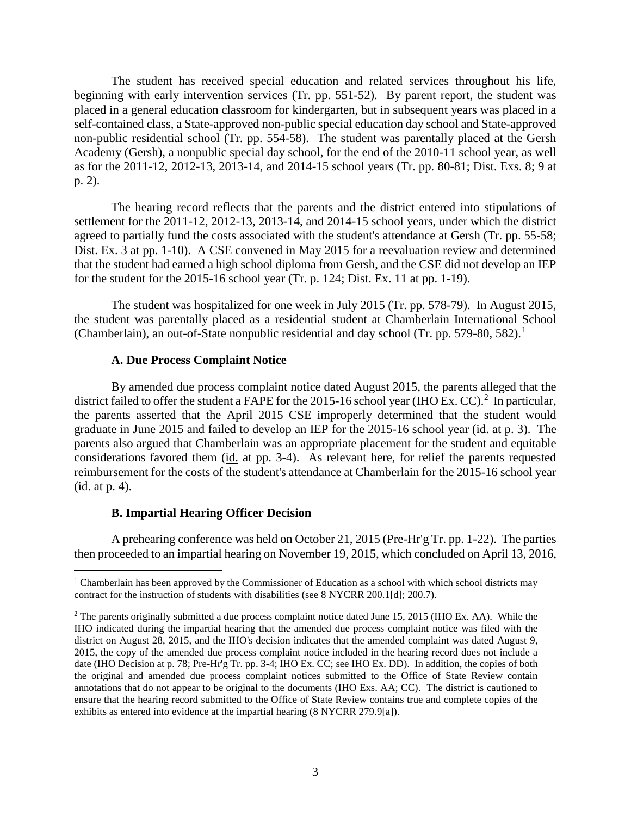The student has received special education and related services throughout his life, beginning with early intervention services (Tr. pp. 551-52). By parent report, the student was placed in a general education classroom for kindergarten, but in subsequent years was placed in a self-contained class, a State-approved non-public special education day school and State-approved non-public residential school (Tr. pp. 554-58). The student was parentally placed at the Gersh Academy (Gersh), a nonpublic special day school, for the end of the 2010-11 school year, as well as for the 2011-12, 2012-13, 2013-14, and 2014-15 school years (Tr. pp. 80-81; Dist. Exs. 8; 9 at p. 2).

The hearing record reflects that the parents and the district entered into stipulations of settlement for the 2011-12, 2012-13, 2013-14, and 2014-15 school years, under which the district agreed to partially fund the costs associated with the student's attendance at Gersh (Tr. pp. 55-58; Dist. Ex. 3 at pp. 1-10). A CSE convened in May 2015 for a reevaluation review and determined that the student had earned a high school diploma from Gersh, and the CSE did not develop an IEP for the student for the 2015-16 school year (Tr. p. 124; Dist. Ex. 11 at pp. 1-19).

The student was hospitalized for one week in July 2015 (Tr. pp. 578-79). In August 2015, the student was parentally placed as a residential student at Chamberlain International School (Chamberlain), an out-of-State nonpublic residential and day school (Tr. pp. 579-80, 582).<sup>1</sup>

#### **A. Due Process Complaint Notice**

By amended due process complaint notice dated August 2015, the parents alleged that the district failed to offer the student a FAPE for the 2015-16 school year (IHO Ex. CC).<sup>2</sup> In particular, the parents asserted that the April 2015 CSE improperly determined that the student would graduate in June 2015 and failed to develop an IEP for the 2015-16 school year (id. at p. 3). The parents also argued that Chamberlain was an appropriate placement for the student and equitable considerations favored them (id. at pp. 3-4). As relevant here, for relief the parents requested reimbursement for the costs of the student's attendance at Chamberlain for the 2015-16 school year (id. at p. 4).

# **B. Impartial Hearing Officer Decision**

A prehearing conference was held on October 21, 2015 (Pre-Hr'g Tr. pp. 1-22). The parties then proceeded to an impartial hearing on November 19, 2015, which concluded on April 13, 2016,

<sup>&</sup>lt;sup>1</sup> Chamberlain has been approved by the Commissioner of Education as a school with which school districts may contract for the instruction of students with disabilities (see 8 NYCRR 200.1[d]; 200.7).

<sup>&</sup>lt;sup>2</sup> The parents originally submitted a due process complaint notice dated June 15, 2015 (IHO Ex. AA). While the IHO indicated during the impartial hearing that the amended due process complaint notice was filed with the district on August 28, 2015, and the IHO's decision indicates that the amended complaint was dated August 9, 2015, the copy of the amended due process complaint notice included in the hearing record does not include a date (IHO Decision at p. 78; Pre-Hr'g Tr. pp. 3-4; IHO Ex. CC; see IHO Ex. DD). In addition, the copies of both the original and amended due process complaint notices submitted to the Office of State Review contain annotations that do not appear to be original to the documents (IHO Exs. AA; CC). The district is cautioned to ensure that the hearing record submitted to the Office of State Review contains true and complete copies of the exhibits as entered into evidence at the impartial hearing (8 NYCRR 279.9[a]).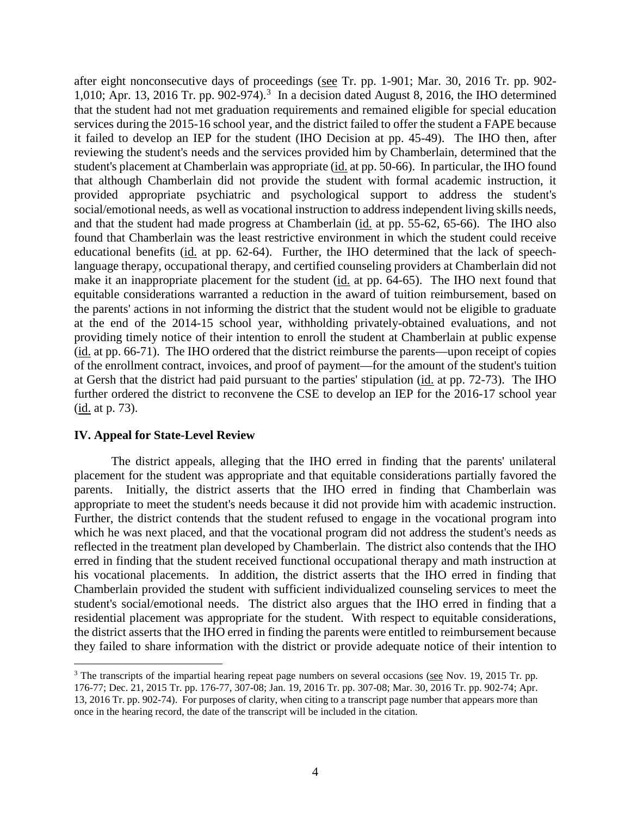after eight nonconsecutive days of proceedings (see Tr. pp. 1-901; Mar. 30, 2016 Tr. pp. 902- 1,010; Apr. 13, 2016 Tr. pp. 902-974). 3 In a decision dated August 8, 2016, the IHO determined that the student had not met graduation requirements and remained eligible for special education services during the 2015-16 school year, and the district failed to offer the student a FAPE because it failed to develop an IEP for the student (IHO Decision at pp. 45-49). The IHO then, after reviewing the student's needs and the services provided him by Chamberlain, determined that the student's placement at Chamberlain was appropriate (id. at pp. 50-66). In particular, the IHO found that although Chamberlain did not provide the student with formal academic instruction, it provided appropriate psychiatric and psychological support to address the student's social/emotional needs, as well as vocational instruction to address independent living skills needs, and that the student had made progress at Chamberlain (id. at pp. 55-62, 65-66). The IHO also found that Chamberlain was the least restrictive environment in which the student could receive educational benefits (id. at pp. 62-64). Further, the IHO determined that the lack of speechlanguage therapy, occupational therapy, and certified counseling providers at Chamberlain did not make it an inappropriate placement for the student (id. at pp. 64-65). The IHO next found that equitable considerations warranted a reduction in the award of tuition reimbursement, based on the parents' actions in not informing the district that the student would not be eligible to graduate at the end of the 2014-15 school year, withholding privately-obtained evaluations, and not providing timely notice of their intention to enroll the student at Chamberlain at public expense (id. at pp. 66-71). The IHO ordered that the district reimburse the parents—upon receipt of copies of the enrollment contract, invoices, and proof of payment—for the amount of the student's tuition at Gersh that the district had paid pursuant to the parties' stipulation (id. at pp. 72-73). The IHO further ordered the district to reconvene the CSE to develop an IEP for the 2016-17 school year (id. at p. 73).

# **IV. Appeal for State-Level Review**

The district appeals, alleging that the IHO erred in finding that the parents' unilateral placement for the student was appropriate and that equitable considerations partially favored the parents. Initially, the district asserts that the IHO erred in finding that Chamberlain was appropriate to meet the student's needs because it did not provide him with academic instruction. Further, the district contends that the student refused to engage in the vocational program into which he was next placed, and that the vocational program did not address the student's needs as reflected in the treatment plan developed by Chamberlain. The district also contends that the IHO erred in finding that the student received functional occupational therapy and math instruction at his vocational placements. In addition, the district asserts that the IHO erred in finding that Chamberlain provided the student with sufficient individualized counseling services to meet the student's social/emotional needs. The district also argues that the IHO erred in finding that a residential placement was appropriate for the student. With respect to equitable considerations, the district asserts that the IHO erred in finding the parents were entitled to reimbursement because they failed to share information with the district or provide adequate notice of their intention to

<sup>&</sup>lt;sup>3</sup> The transcripts of the impartial hearing repeat page numbers on several occasions (see Nov. 19, 2015 Tr. pp. 176-77; Dec. 21, 2015 Tr. pp. 176-77, 307-08; Jan. 19, 2016 Tr. pp. 307-08; Mar. 30, 2016 Tr. pp. 902-74; Apr. 13, 2016 Tr. pp. 902-74). For purposes of clarity, when citing to a transcript page number that appears more than once in the hearing record, the date of the transcript will be included in the citation.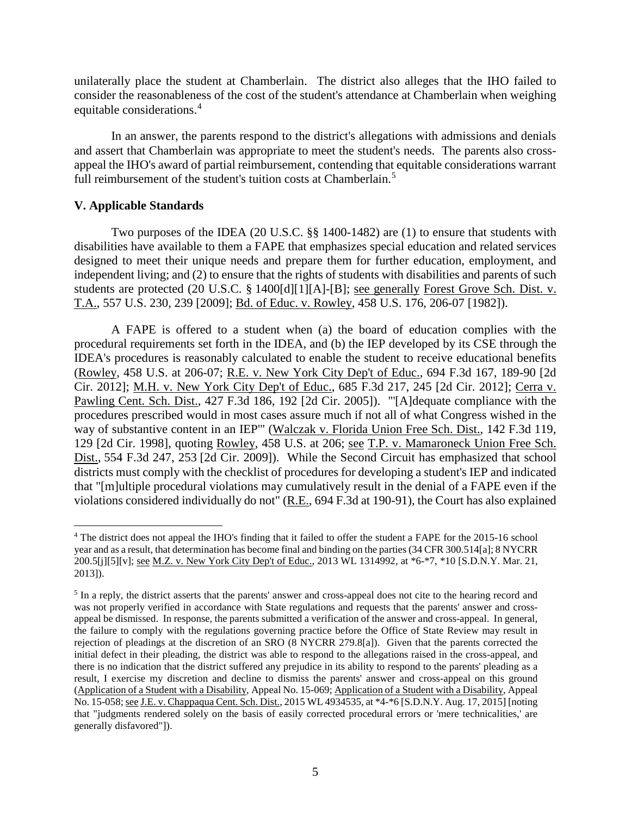unilaterally place the student at Chamberlain. The district also alleges that the IHO failed to consider the reasonableness of the cost of the student's attendance at Chamberlain when weighing equitable considerations.<sup>4</sup>

In an answer, the parents respond to the district's allegations with admissions and denials and assert that Chamberlain was appropriate to meet the student's needs. The parents also crossappeal the IHO's award of partial reimbursement, contending that equitable considerations warrant full reimbursement of the student's tuition costs at Chamberlain.<sup>5</sup>

#### **V. Applicable Standards**

Two purposes of the IDEA (20 U.S.C. §§ 1400-1482) are (1) to ensure that students with disabilities have available to them a FAPE that emphasizes special education and related services designed to meet their unique needs and prepare them for further education, employment, and independent living; and (2) to ensure that the rights of students with disabilities and parents of such students are protected (20 U.S.C. § 1400[d][1][A]-[B]; see generally Forest Grove Sch. Dist. v. T.A., 557 U.S. 230, 239 [2009]; Bd. of Educ. v. Rowley, 458 U.S. 176, 206-07 [1982]).

A FAPE is offered to a student when (a) the board of education complies with the procedural requirements set forth in the IDEA, and (b) the IEP developed by its CSE through the IDEA's procedures is reasonably calculated to enable the student to receive educational benefits (Rowley, 458 U.S. at 206-07; R.E. v. New York City Dep't of Educ., 694 F.3d 167, 189-90 [2d Cir. 2012]; M.H. v. New York City Dep't of Educ., 685 F.3d 217, 245 [2d Cir. 2012]; Cerra v. Pawling Cent. Sch. Dist., 427 F.3d 186, 192 [2d Cir. 2005]). "'[A]dequate compliance with the procedures prescribed would in most cases assure much if not all of what Congress wished in the way of substantive content in an IEP'" (Walczak v. Florida Union Free Sch. Dist., 142 F.3d 119, 129 [2d Cir. 1998], quoting Rowley, 458 U.S. at 206; see T.P. v. Mamaroneck Union Free Sch. Dist., 554 F.3d 247, 253 [2d Cir. 2009]). While the Second Circuit has emphasized that school districts must comply with the checklist of procedures for developing a student's IEP and indicated that "[m]ultiple procedural violations may cumulatively result in the denial of a FAPE even if the violations considered individually do not" (R.E., 694 F.3d at 190-91), the Court has also explained

 <sup>4</sup> The district does not appeal the IHO's finding that it failed to offer the student a FAPE for the 2015-16 school year and as a result, that determination has become final and binding on the parties (34 CFR 300.514[a]; 8 NYCRR 200.5[j][5][v]; <u>see M.Z. v. New York City Dep't of Educ.</u>, 2013 WL 1314992, at \*6-\*7, \*10 [S.D.N.Y. Mar. 21, 2013]).

<sup>&</sup>lt;sup>5</sup> In a reply, the district asserts that the parents' answer and cross-appeal does not cite to the hearing record and was not properly verified in accordance with State regulations and requests that the parents' answer and crossappeal be dismissed. In response, the parents submitted a verification of the answer and cross-appeal. In general, the failure to comply with the regulations governing practice before the Office of State Review may result in rejection of pleadings at the discretion of an SRO (8 NYCRR 279.8[a]). Given that the parents corrected the initial defect in their pleading, the district was able to respond to the allegations raised in the cross-appeal, and there is no indication that the district suffered any prejudice in its ability to respond to the parents' pleading as a result, I exercise my discretion and decline to dismiss the parents' answer and cross-appeal on this ground (Application of a Student with a Disability, Appeal No. 15-069; Application of a Student with a Disability, Appeal No. 15-058; see J.E. v. Chappaqua Cent. Sch. Dist., 2015 WL 4934535, at \*4-\*6 [S.D.N.Y. Aug. 17, 2015] [noting that "judgments rendered solely on the basis of easily corrected procedural errors or 'mere technicalities,' are generally disfavored"]).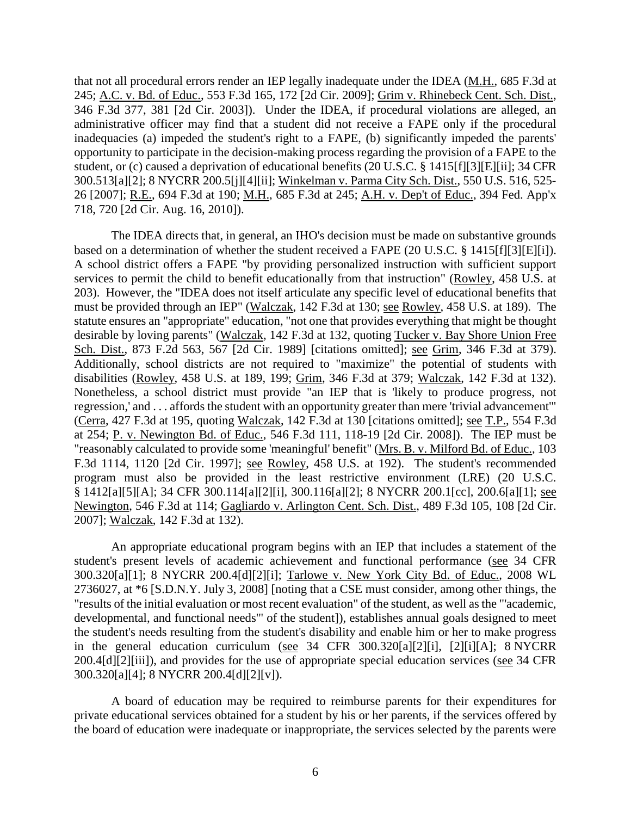that not all procedural errors render an IEP legally inadequate under the IDEA (M.H., 685 F.3d at 245; A.C. v. Bd. of Educ., 553 F.3d 165, 172 [2d Cir. 2009]; Grim v. Rhinebeck Cent. Sch. Dist., 346 F.3d 377, 381 [2d Cir. 2003]). Under the IDEA, if procedural violations are alleged, an administrative officer may find that a student did not receive a FAPE only if the procedural inadequacies (a) impeded the student's right to a FAPE, (b) significantly impeded the parents' opportunity to participate in the decision-making process regarding the provision of a FAPE to the student, or (c) caused a deprivation of educational benefits (20 U.S.C. § 1415[f][3][E][ii]; 34 CFR 300.513[a][2]; 8 NYCRR 200.5[j][4][ii]; Winkelman v. Parma City Sch. Dist., 550 U.S. 516, 525- 26 [2007]; R.E., 694 F.3d at 190; M.H., 685 F.3d at 245; A.H. v. Dep't of Educ., 394 Fed. App'x 718, 720 [2d Cir. Aug. 16, 2010]).

The IDEA directs that, in general, an IHO's decision must be made on substantive grounds based on a determination of whether the student received a FAPE (20 U.S.C. § 1415[f][3][E][i]). A school district offers a FAPE "by providing personalized instruction with sufficient support services to permit the child to benefit educationally from that instruction" (Rowley, 458 U.S. at 203). However, the "IDEA does not itself articulate any specific level of educational benefits that must be provided through an IEP" (Walczak, 142 F.3d at 130; see Rowley, 458 U.S. at 189). The statute ensures an "appropriate" education, "not one that provides everything that might be thought desirable by loving parents" (Walczak, 142 F.3d at 132, quoting Tucker v. Bay Shore Union Free Sch. Dist., 873 F.2d 563, 567 [2d Cir. 1989] [citations omitted]; see Grim, 346 F.3d at 379). Additionally, school districts are not required to "maximize" the potential of students with disabilities (Rowley, 458 U.S. at 189, 199; Grim, 346 F.3d at 379; Walczak, 142 F.3d at 132). Nonetheless, a school district must provide "an IEP that is 'likely to produce progress, not regression,' and . . . affords the student with an opportunity greater than mere 'trivial advancement'" (Cerra, 427 F.3d at 195, quoting Walczak, 142 F.3d at 130 [citations omitted]; see T.P., 554 F.3d at 254; P. v. Newington Bd. of Educ., 546 F.3d 111, 118-19 [2d Cir. 2008]). The IEP must be "reasonably calculated to provide some 'meaningful' benefit" (Mrs. B. v. Milford Bd. of Educ., 103 F.3d 1114, 1120 [2d Cir. 1997]; see Rowley, 458 U.S. at 192). The student's recommended program must also be provided in the least restrictive environment (LRE) (20 U.S.C. § 1412[a][5][A]; 34 CFR 300.114[a][2][i], 300.116[a][2]; 8 NYCRR 200.1[cc], 200.6[a][1]; see Newington, 546 F.3d at 114; Gagliardo v. Arlington Cent. Sch. Dist., 489 F.3d 105, 108 [2d Cir. 2007]; Walczak, 142 F.3d at 132).

An appropriate educational program begins with an IEP that includes a statement of the student's present levels of academic achievement and functional performance (see 34 CFR 300.320[a][1]; 8 NYCRR 200.4[d][2][i]; Tarlowe v. New York City Bd. of Educ., 2008 WL 2736027, at \*6 [S.D.N.Y. July 3, 2008] [noting that a CSE must consider, among other things, the "results of the initial evaluation or most recent evaluation" of the student, as well as the "'academic, developmental, and functional needs'" of the student]), establishes annual goals designed to meet the student's needs resulting from the student's disability and enable him or her to make progress in the general education curriculum (see 34 CFR 300.320[a][2][i], [2][i][A]; 8 NYCRR 200.4[d][2][iii]), and provides for the use of appropriate special education services (see 34 CFR 300.320[a][4]; 8 NYCRR 200.4[d][2][v]).

A board of education may be required to reimburse parents for their expenditures for private educational services obtained for a student by his or her parents, if the services offered by the board of education were inadequate or inappropriate, the services selected by the parents were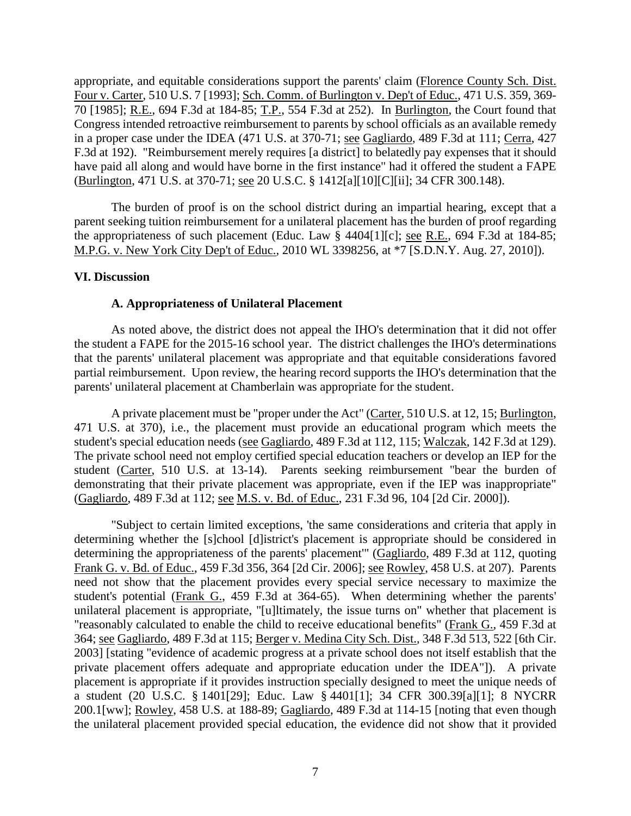appropriate, and equitable considerations support the parents' claim (Florence County Sch. Dist. Four v. Carter, 510 U.S. 7 [1993]; Sch. Comm. of Burlington v. Dep't of Educ., 471 U.S. 359, 369- 70 [1985]; R.E., 694 F.3d at 184-85; T.P., 554 F.3d at 252). In Burlington, the Court found that Congress intended retroactive reimbursement to parents by school officials as an available remedy in a proper case under the IDEA (471 U.S. at 370-71; see Gagliardo, 489 F.3d at 111; Cerra, 427 F.3d at 192). "Reimbursement merely requires [a district] to belatedly pay expenses that it should have paid all along and would have borne in the first instance" had it offered the student a FAPE (Burlington, 471 U.S. at 370-71; see 20 U.S.C. § 1412[a][10][C][ii]; 34 CFR 300.148).

The burden of proof is on the school district during an impartial hearing, except that a parent seeking tuition reimbursement for a unilateral placement has the burden of proof regarding the appropriateness of such placement (Educ. Law § 4404[1][c]; see R.E., 694 F.3d at 184-85; M.P.G. v. New York City Dep't of Educ., 2010 WL 3398256, at \*7 [S.D.N.Y. Aug. 27, 2010]).

# **VI. Discussion**

#### **A. Appropriateness of Unilateral Placement**

As noted above, the district does not appeal the IHO's determination that it did not offer the student a FAPE for the 2015-16 school year. The district challenges the IHO's determinations that the parents' unilateral placement was appropriate and that equitable considerations favored partial reimbursement. Upon review, the hearing record supports the IHO's determination that the parents' unilateral placement at Chamberlain was appropriate for the student.

A private placement must be "proper under the Act" (Carter, 510 U.S. at 12, 15; Burlington, 471 U.S. at 370), i.e., the placement must provide an educational program which meets the student's special education needs (see Gagliardo, 489 F.3d at 112, 115; Walczak, 142 F.3d at 129). The private school need not employ certified special education teachers or develop an IEP for the student (Carter, 510 U.S. at 13-14). Parents seeking reimbursement "bear the burden of demonstrating that their private placement was appropriate, even if the IEP was inappropriate" (Gagliardo, 489 F.3d at 112; see M.S. v. Bd. of Educ., 231 F.3d 96, 104 [2d Cir. 2000]).

"Subject to certain limited exceptions, 'the same considerations and criteria that apply in determining whether the [s]chool [d]istrict's placement is appropriate should be considered in determining the appropriateness of the parents' placement'" (Gagliardo, 489 F.3d at 112, quoting Frank G. v. Bd. of Educ., 459 F.3d 356, 364 [2d Cir. 2006]; see Rowley, 458 U.S. at 207). Parents need not show that the placement provides every special service necessary to maximize the student's potential (Frank G., 459 F.3d at 364-65). When determining whether the parents' unilateral placement is appropriate, "[u]ltimately, the issue turns on" whether that placement is "reasonably calculated to enable the child to receive educational benefits" (Frank G., 459 F.3d at 364; see Gagliardo, 489 F.3d at 115; Berger v. Medina City Sch. Dist., 348 F.3d 513, 522 [6th Cir. 2003] [stating "evidence of academic progress at a private school does not itself establish that the private placement offers adequate and appropriate education under the IDEA"]). A private placement is appropriate if it provides instruction specially designed to meet the unique needs of a student (20 U.S.C. § 1401[29]; Educ. Law § 4401[1]; 34 CFR 300.39[a][1]; 8 NYCRR 200.1[ww]; Rowley, 458 U.S. at 188-89; Gagliardo, 489 F.3d at 114-15 [noting that even though the unilateral placement provided special education, the evidence did not show that it provided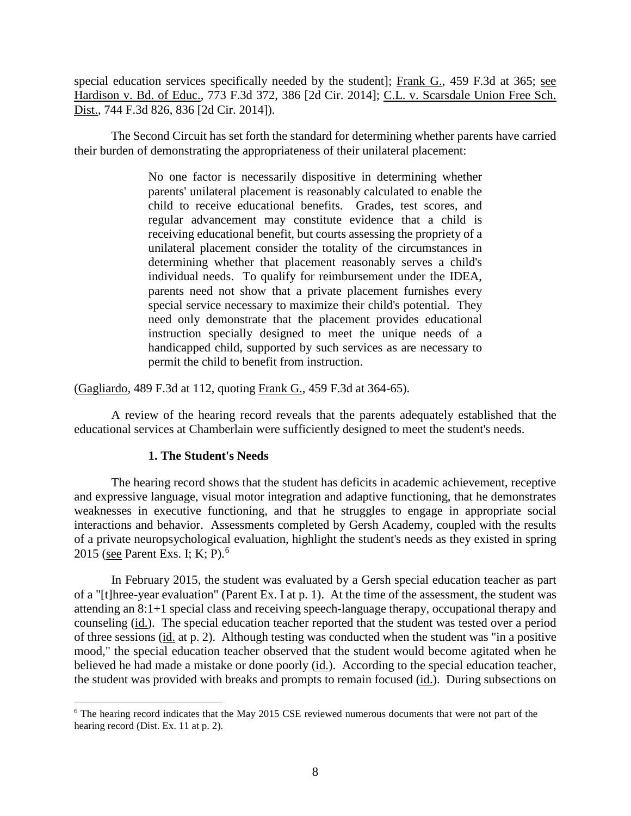special education services specifically needed by the student]; Frank G., 459 F.3d at 365; see Hardison v. Bd. of Educ., 773 F.3d 372, 386 [2d Cir. 2014]; C.L. v. Scarsdale Union Free Sch. Dist., 744 F.3d 826, 836 [2d Cir. 2014]).

The Second Circuit has set forth the standard for determining whether parents have carried their burden of demonstrating the appropriateness of their unilateral placement:

> No one factor is necessarily dispositive in determining whether parents' unilateral placement is reasonably calculated to enable the child to receive educational benefits. Grades, test scores, and regular advancement may constitute evidence that a child is receiving educational benefit, but courts assessing the propriety of a unilateral placement consider the totality of the circumstances in determining whether that placement reasonably serves a child's individual needs. To qualify for reimbursement under the IDEA, parents need not show that a private placement furnishes every special service necessary to maximize their child's potential. They need only demonstrate that the placement provides educational instruction specially designed to meet the unique needs of a handicapped child, supported by such services as are necessary to permit the child to benefit from instruction.

(Gagliardo, 489 F.3d at 112, quoting Frank G., 459 F.3d at 364-65).

A review of the hearing record reveals that the parents adequately established that the educational services at Chamberlain were sufficiently designed to meet the student's needs.

# **1. The Student's Needs**

The hearing record shows that the student has deficits in academic achievement, receptive and expressive language, visual motor integration and adaptive functioning, that he demonstrates weaknesses in executive functioning, and that he struggles to engage in appropriate social interactions and behavior. Assessments completed by Gersh Academy, coupled with the results of a private neuropsychological evaluation, highlight the student's needs as they existed in spring 2015 (see Parent Exs. I; K; P).<sup>6</sup>

In February 2015, the student was evaluated by a Gersh special education teacher as part of a "[t]hree-year evaluation" (Parent Ex. I at p. 1). At the time of the assessment, the student was attending an 8:1+1 special class and receiving speech-language therapy, occupational therapy and counseling (id.). The special education teacher reported that the student was tested over a period of three sessions (id. at p. 2). Although testing was conducted when the student was "in a positive mood," the special education teacher observed that the student would become agitated when he believed he had made a mistake or done poorly (id.). According to the special education teacher, the student was provided with breaks and prompts to remain focused (id.). During subsections on

<sup>&</sup>lt;sup>6</sup> The hearing record indicates that the May 2015 CSE reviewed numerous documents that were not part of the hearing record (Dist. Ex. 11 at p. 2).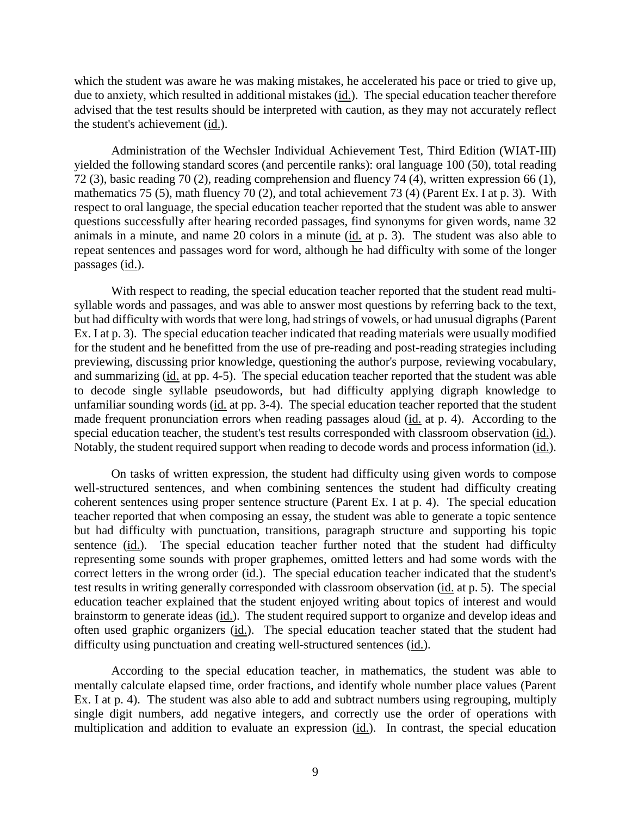which the student was aware he was making mistakes, he accelerated his pace or tried to give up, due to anxiety, which resulted in additional mistakes (id.). The special education teacher therefore advised that the test results should be interpreted with caution, as they may not accurately reflect the student's achievement (id.).

Administration of the Wechsler Individual Achievement Test, Third Edition (WIAT-III) yielded the following standard scores (and percentile ranks): oral language 100 (50), total reading 72 (3), basic reading 70 (2), reading comprehension and fluency 74 (4), written expression 66 (1), mathematics 75 (5), math fluency 70 (2), and total achievement 73 (4) (Parent Ex. I at p. 3). With respect to oral language, the special education teacher reported that the student was able to answer questions successfully after hearing recorded passages, find synonyms for given words, name 32 animals in a minute, and name 20 colors in a minute (id. at p. 3). The student was also able to repeat sentences and passages word for word, although he had difficulty with some of the longer passages (id.).

With respect to reading, the special education teacher reported that the student read multisyllable words and passages, and was able to answer most questions by referring back to the text, but had difficulty with words that were long, had strings of vowels, or had unusual digraphs (Parent Ex. I at p. 3). The special education teacher indicated that reading materials were usually modified for the student and he benefitted from the use of pre-reading and post-reading strategies including previewing, discussing prior knowledge, questioning the author's purpose, reviewing vocabulary, and summarizing (id. at pp. 4-5). The special education teacher reported that the student was able to decode single syllable pseudowords, but had difficulty applying digraph knowledge to unfamiliar sounding words (id. at pp. 3-4). The special education teacher reported that the student made frequent pronunciation errors when reading passages aloud (id. at p. 4). According to the special education teacher, the student's test results corresponded with classroom observation (id.). Notably, the student required support when reading to decode words and process information (id.).

On tasks of written expression, the student had difficulty using given words to compose well-structured sentences, and when combining sentences the student had difficulty creating coherent sentences using proper sentence structure (Parent Ex. I at p. 4). The special education teacher reported that when composing an essay, the student was able to generate a topic sentence but had difficulty with punctuation, transitions, paragraph structure and supporting his topic sentence (id.). The special education teacher further noted that the student had difficulty representing some sounds with proper graphemes, omitted letters and had some words with the correct letters in the wrong order (id.). The special education teacher indicated that the student's test results in writing generally corresponded with classroom observation (id. at p. 5). The special education teacher explained that the student enjoyed writing about topics of interest and would brainstorm to generate ideas (id.). The student required support to organize and develop ideas and often used graphic organizers (id.). The special education teacher stated that the student had difficulty using punctuation and creating well-structured sentences (id.).

According to the special education teacher, in mathematics, the student was able to mentally calculate elapsed time, order fractions, and identify whole number place values (Parent Ex. I at p. 4). The student was also able to add and subtract numbers using regrouping, multiply single digit numbers, add negative integers, and correctly use the order of operations with multiplication and addition to evaluate an expression (id.). In contrast, the special education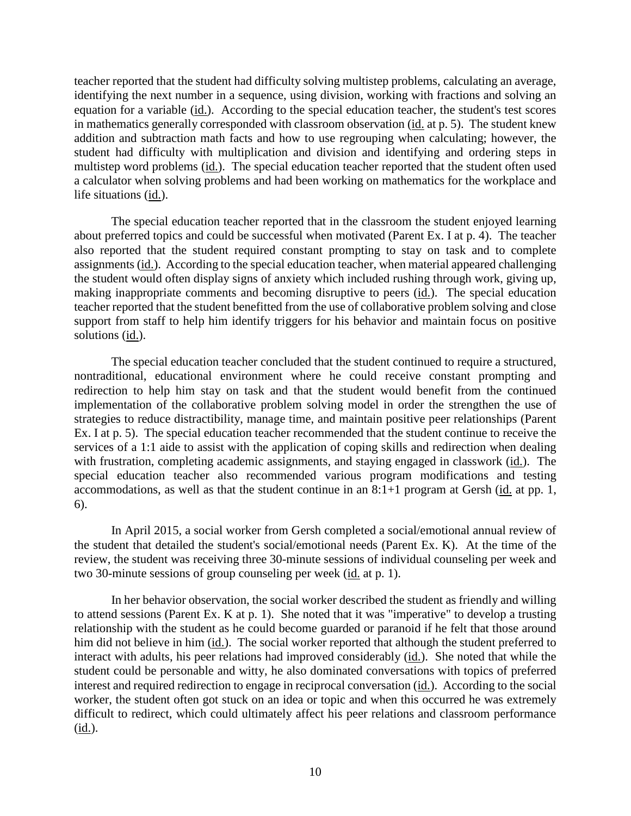teacher reported that the student had difficulty solving multistep problems, calculating an average, identifying the next number in a sequence, using division, working with fractions and solving an equation for a variable (id.). According to the special education teacher, the student's test scores in mathematics generally corresponded with classroom observation (id. at p. 5). The student knew addition and subtraction math facts and how to use regrouping when calculating; however, the student had difficulty with multiplication and division and identifying and ordering steps in multistep word problems (id.). The special education teacher reported that the student often used a calculator when solving problems and had been working on mathematics for the workplace and life situations (id.).

The special education teacher reported that in the classroom the student enjoyed learning about preferred topics and could be successful when motivated (Parent Ex. I at p. 4). The teacher also reported that the student required constant prompting to stay on task and to complete assignments (id.). According to the special education teacher, when material appeared challenging the student would often display signs of anxiety which included rushing through work, giving up, making inappropriate comments and becoming disruptive to peers (id.). The special education teacher reported that the student benefitted from the use of collaborative problem solving and close support from staff to help him identify triggers for his behavior and maintain focus on positive solutions (id.).

The special education teacher concluded that the student continued to require a structured, nontraditional, educational environment where he could receive constant prompting and redirection to help him stay on task and that the student would benefit from the continued implementation of the collaborative problem solving model in order the strengthen the use of strategies to reduce distractibility, manage time, and maintain positive peer relationships (Parent Ex. I at p. 5). The special education teacher recommended that the student continue to receive the services of a 1:1 aide to assist with the application of coping skills and redirection when dealing with frustration, completing academic assignments, and staying engaged in classwork (id.). The special education teacher also recommended various program modifications and testing accommodations, as well as that the student continue in an  $8:1+1$  program at Gersh (id. at pp. 1, 6).

In April 2015, a social worker from Gersh completed a social/emotional annual review of the student that detailed the student's social/emotional needs (Parent Ex. K). At the time of the review, the student was receiving three 30-minute sessions of individual counseling per week and two 30-minute sessions of group counseling per week (id. at p. 1).

In her behavior observation, the social worker described the student as friendly and willing to attend sessions (Parent Ex. K at p. 1). She noted that it was "imperative" to develop a trusting relationship with the student as he could become guarded or paranoid if he felt that those around him did not believe in him (id.). The social worker reported that although the student preferred to interact with adults, his peer relations had improved considerably (id.). She noted that while the student could be personable and witty, he also dominated conversations with topics of preferred interest and required redirection to engage in reciprocal conversation (id.). According to the social worker, the student often got stuck on an idea or topic and when this occurred he was extremely difficult to redirect, which could ultimately affect his peer relations and classroom performance (id.).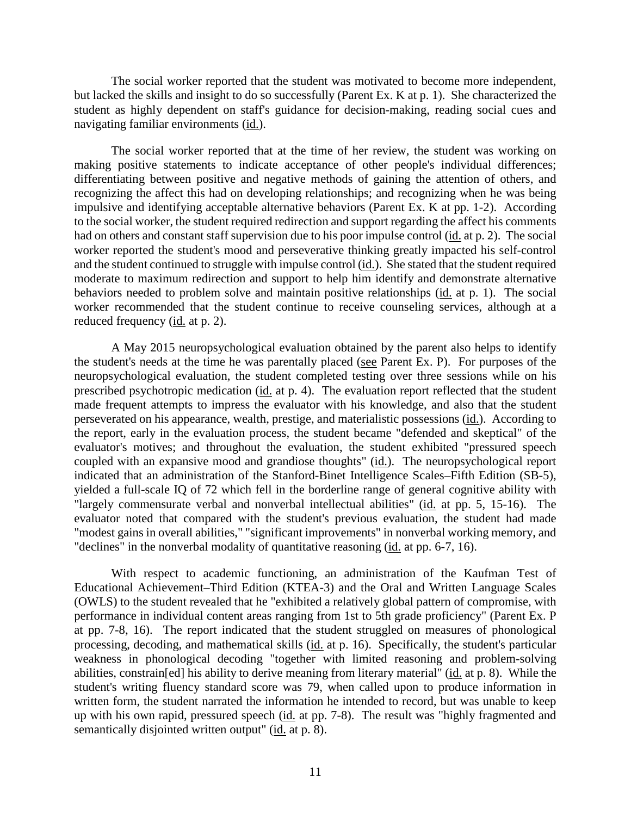The social worker reported that the student was motivated to become more independent, but lacked the skills and insight to do so successfully (Parent Ex. K at p. 1). She characterized the student as highly dependent on staff's guidance for decision-making, reading social cues and navigating familiar environments (id.).

The social worker reported that at the time of her review, the student was working on making positive statements to indicate acceptance of other people's individual differences; differentiating between positive and negative methods of gaining the attention of others, and recognizing the affect this had on developing relationships; and recognizing when he was being impulsive and identifying acceptable alternative behaviors (Parent Ex. K at pp. 1-2). According to the social worker, the student required redirection and support regarding the affect his comments had on others and constant staff supervision due to his poor impulse control (id. at p. 2). The social worker reported the student's mood and perseverative thinking greatly impacted his self-control and the student continued to struggle with impulse control (id.). She stated that the student required moderate to maximum redirection and support to help him identify and demonstrate alternative behaviors needed to problem solve and maintain positive relationships (id. at p. 1). The social worker recommended that the student continue to receive counseling services, although at a reduced frequency (id. at p. 2).

A May 2015 neuropsychological evaluation obtained by the parent also helps to identify the student's needs at the time he was parentally placed (see Parent Ex. P). For purposes of the neuropsychological evaluation, the student completed testing over three sessions while on his prescribed psychotropic medication (id. at p. 4). The evaluation report reflected that the student made frequent attempts to impress the evaluator with his knowledge, and also that the student perseverated on his appearance, wealth, prestige, and materialistic possessions (id.). According to the report, early in the evaluation process, the student became "defended and skeptical" of the evaluator's motives; and throughout the evaluation, the student exhibited "pressured speech coupled with an expansive mood and grandiose thoughts" (id.). The neuropsychological report indicated that an administration of the Stanford-Binet Intelligence Scales–Fifth Edition (SB-5), yielded a full-scale IQ of 72 which fell in the borderline range of general cognitive ability with "largely commensurate verbal and nonverbal intellectual abilities" (id. at pp. 5, 15-16). The evaluator noted that compared with the student's previous evaluation, the student had made "modest gains in overall abilities," "significant improvements" in nonverbal working memory, and "declines" in the nonverbal modality of quantitative reasoning (id. at pp. 6-7, 16).

With respect to academic functioning, an administration of the Kaufman Test of Educational Achievement–Third Edition (KTEA-3) and the Oral and Written Language Scales (OWLS) to the student revealed that he "exhibited a relatively global pattern of compromise, with performance in individual content areas ranging from 1st to 5th grade proficiency" (Parent Ex. P at pp. 7-8, 16). The report indicated that the student struggled on measures of phonological processing, decoding, and mathematical skills (id. at p. 16). Specifically, the student's particular weakness in phonological decoding "together with limited reasoning and problem-solving abilities, constrain[ed] his ability to derive meaning from literary material" (id. at p. 8). While the student's writing fluency standard score was 79, when called upon to produce information in written form, the student narrated the information he intended to record, but was unable to keep up with his own rapid, pressured speech (id. at pp. 7-8). The result was "highly fragmented and semantically disjointed written output" (id. at p. 8).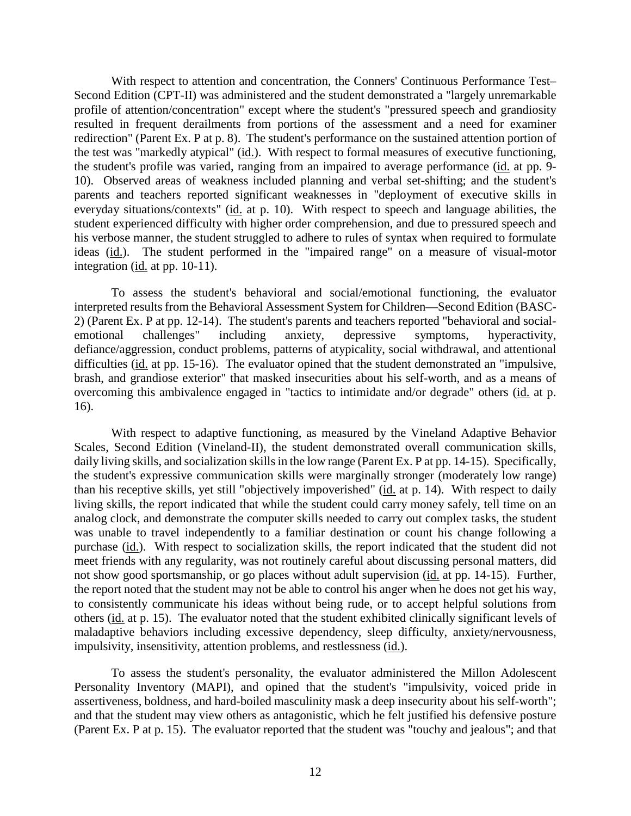With respect to attention and concentration, the Conners' Continuous Performance Test– Second Edition (CPT-II) was administered and the student demonstrated a "largely unremarkable profile of attention/concentration" except where the student's "pressured speech and grandiosity resulted in frequent derailments from portions of the assessment and a need for examiner redirection" (Parent Ex. P at p. 8). The student's performance on the sustained attention portion of the test was "markedly atypical" (id.). With respect to formal measures of executive functioning, the student's profile was varied, ranging from an impaired to average performance (id. at pp. 9- 10). Observed areas of weakness included planning and verbal set-shifting; and the student's parents and teachers reported significant weaknesses in "deployment of executive skills in everyday situations/contexts" (id. at p. 10). With respect to speech and language abilities, the student experienced difficulty with higher order comprehension, and due to pressured speech and his verbose manner, the student struggled to adhere to rules of syntax when required to formulate ideas (id.). The student performed in the "impaired range" on a measure of visual-motor integration (id. at pp. 10-11).

To assess the student's behavioral and social/emotional functioning, the evaluator interpreted results from the Behavioral Assessment System for Children—Second Edition (BASC-2) (Parent Ex. P at pp. 12-14). The student's parents and teachers reported "behavioral and socialemotional challenges" including anxiety, depressive symptoms, hyperactivity, defiance/aggression, conduct problems, patterns of atypicality, social withdrawal, and attentional difficulties (id. at pp. 15-16). The evaluator opined that the student demonstrated an "impulsive, brash, and grandiose exterior" that masked insecurities about his self-worth, and as a means of overcoming this ambivalence engaged in "tactics to intimidate and/or degrade" others (id. at p. 16).

With respect to adaptive functioning, as measured by the Vineland Adaptive Behavior Scales, Second Edition (Vineland-II), the student demonstrated overall communication skills, daily living skills, and socialization skills in the low range (Parent Ex. P at pp. 14-15). Specifically, the student's expressive communication skills were marginally stronger (moderately low range) than his receptive skills, yet still "objectively impoverished" (id. at p. 14). With respect to daily living skills, the report indicated that while the student could carry money safely, tell time on an analog clock, and demonstrate the computer skills needed to carry out complex tasks, the student was unable to travel independently to a familiar destination or count his change following a purchase (id.). With respect to socialization skills, the report indicated that the student did not meet friends with any regularity, was not routinely careful about discussing personal matters, did not show good sportsmanship, or go places without adult supervision (id. at pp. 14-15). Further, the report noted that the student may not be able to control his anger when he does not get his way, to consistently communicate his ideas without being rude, or to accept helpful solutions from others (id. at p. 15). The evaluator noted that the student exhibited clinically significant levels of maladaptive behaviors including excessive dependency, sleep difficulty, anxiety/nervousness, impulsivity, insensitivity, attention problems, and restlessness (id.).

To assess the student's personality, the evaluator administered the Millon Adolescent Personality Inventory (MAPI), and opined that the student's "impulsivity, voiced pride in assertiveness, boldness, and hard-boiled masculinity mask a deep insecurity about his self-worth"; and that the student may view others as antagonistic, which he felt justified his defensive posture (Parent Ex. P at p. 15). The evaluator reported that the student was "touchy and jealous"; and that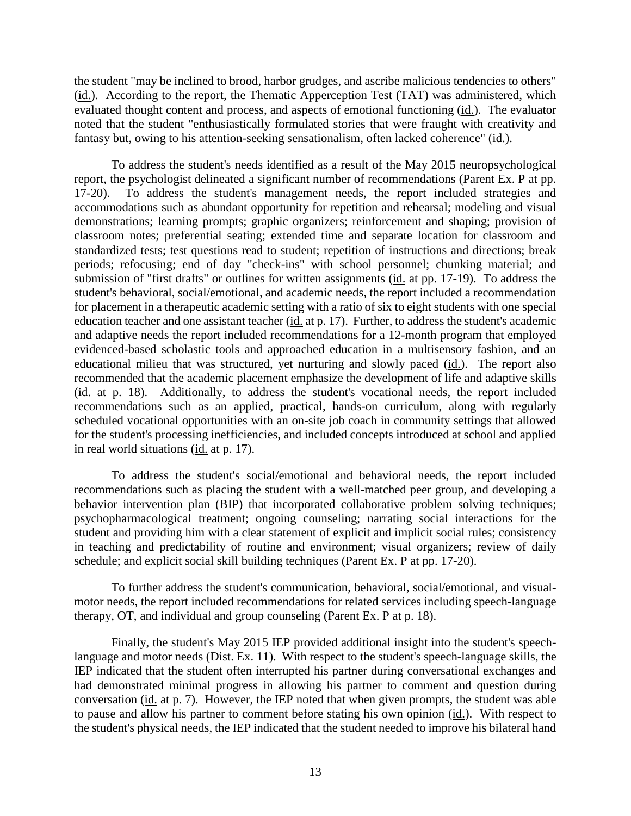the student "may be inclined to brood, harbor grudges, and ascribe malicious tendencies to others" (id.). According to the report, the Thematic Apperception Test (TAT) was administered, which evaluated thought content and process, and aspects of emotional functioning (id.). The evaluator noted that the student "enthusiastically formulated stories that were fraught with creativity and fantasy but, owing to his attention-seeking sensationalism, often lacked coherence" (id.).

To address the student's needs identified as a result of the May 2015 neuropsychological report, the psychologist delineated a significant number of recommendations (Parent Ex. P at pp. 17-20). To address the student's management needs, the report included strategies and accommodations such as abundant opportunity for repetition and rehearsal; modeling and visual demonstrations; learning prompts; graphic organizers; reinforcement and shaping; provision of classroom notes; preferential seating; extended time and separate location for classroom and standardized tests; test questions read to student; repetition of instructions and directions; break periods; refocusing; end of day "check-ins" with school personnel; chunking material; and submission of "first drafts" or outlines for written assignments (id. at pp. 17-19). To address the student's behavioral, social/emotional, and academic needs, the report included a recommendation for placement in a therapeutic academic setting with a ratio of six to eight students with one special education teacher and one assistant teacher (id. at p. 17). Further, to address the student's academic and adaptive needs the report included recommendations for a 12-month program that employed evidenced-based scholastic tools and approached education in a multisensory fashion, and an educational milieu that was structured, yet nurturing and slowly paced (id.). The report also recommended that the academic placement emphasize the development of life and adaptive skills (id. at p. 18). Additionally, to address the student's vocational needs, the report included recommendations such as an applied, practical, hands-on curriculum, along with regularly scheduled vocational opportunities with an on-site job coach in community settings that allowed for the student's processing inefficiencies, and included concepts introduced at school and applied in real world situations (id. at p. 17).

To address the student's social/emotional and behavioral needs, the report included recommendations such as placing the student with a well-matched peer group, and developing a behavior intervention plan (BIP) that incorporated collaborative problem solving techniques; psychopharmacological treatment; ongoing counseling; narrating social interactions for the student and providing him with a clear statement of explicit and implicit social rules; consistency in teaching and predictability of routine and environment; visual organizers; review of daily schedule; and explicit social skill building techniques (Parent Ex. P at pp. 17-20).

To further address the student's communication, behavioral, social/emotional, and visualmotor needs, the report included recommendations for related services including speech-language therapy, OT, and individual and group counseling (Parent Ex. P at p. 18).

Finally, the student's May 2015 IEP provided additional insight into the student's speechlanguage and motor needs (Dist. Ex. 11). With respect to the student's speech-language skills, the IEP indicated that the student often interrupted his partner during conversational exchanges and had demonstrated minimal progress in allowing his partner to comment and question during conversation (id. at p. 7). However, the IEP noted that when given prompts, the student was able to pause and allow his partner to comment before stating his own opinion (id.). With respect to the student's physical needs, the IEP indicated that the student needed to improve his bilateral hand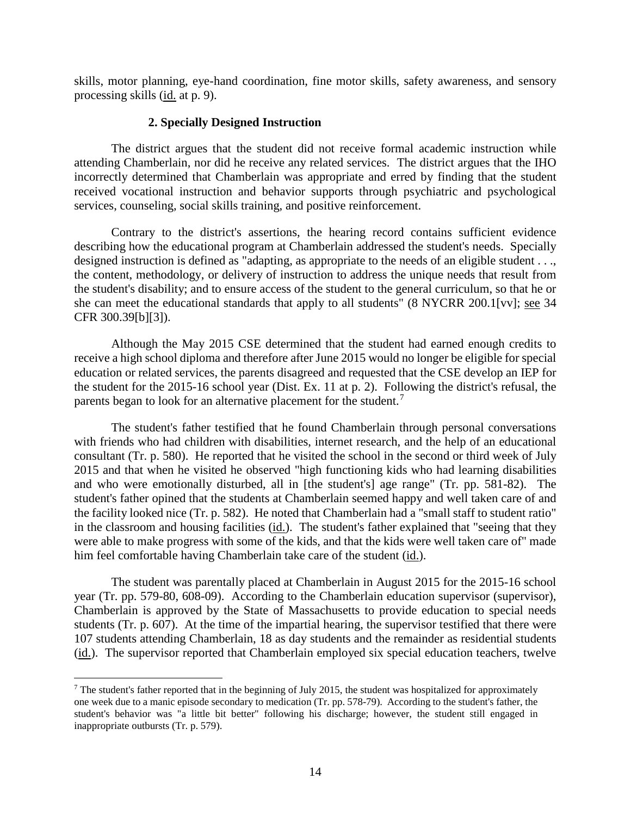skills, motor planning, eye-hand coordination, fine motor skills, safety awareness, and sensory processing skills (id. at p. 9).

#### **2. Specially Designed Instruction**

The district argues that the student did not receive formal academic instruction while attending Chamberlain, nor did he receive any related services. The district argues that the IHO incorrectly determined that Chamberlain was appropriate and erred by finding that the student received vocational instruction and behavior supports through psychiatric and psychological services, counseling, social skills training, and positive reinforcement.

Contrary to the district's assertions, the hearing record contains sufficient evidence describing how the educational program at Chamberlain addressed the student's needs. Specially designed instruction is defined as "adapting, as appropriate to the needs of an eligible student . . ., the content, methodology, or delivery of instruction to address the unique needs that result from the student's disability; and to ensure access of the student to the general curriculum, so that he or she can meet the educational standards that apply to all students" (8 NYCRR 200.1[vv]; see 34 CFR 300.39[b][3]).

Although the May 2015 CSE determined that the student had earned enough credits to receive a high school diploma and therefore after June 2015 would no longer be eligible for special education or related services, the parents disagreed and requested that the CSE develop an IEP for the student for the 2015-16 school year (Dist. Ex. 11 at p. 2). Following the district's refusal, the parents began to look for an alternative placement for the student.<sup>7</sup>

The student's father testified that he found Chamberlain through personal conversations with friends who had children with disabilities, internet research, and the help of an educational consultant (Tr. p. 580). He reported that he visited the school in the second or third week of July 2015 and that when he visited he observed "high functioning kids who had learning disabilities and who were emotionally disturbed, all in [the student's] age range" (Tr. pp. 581-82). The student's father opined that the students at Chamberlain seemed happy and well taken care of and the facility looked nice (Tr. p. 582). He noted that Chamberlain had a "small staff to student ratio" in the classroom and housing facilities (id.). The student's father explained that "seeing that they were able to make progress with some of the kids, and that the kids were well taken care of" made him feel comfortable having Chamberlain take care of the student (id.).

The student was parentally placed at Chamberlain in August 2015 for the 2015-16 school year (Tr. pp. 579-80, 608-09). According to the Chamberlain education supervisor (supervisor), Chamberlain is approved by the State of Massachusetts to provide education to special needs students (Tr. p. 607). At the time of the impartial hearing, the supervisor testified that there were 107 students attending Chamberlain, 18 as day students and the remainder as residential students (id.). The supervisor reported that Chamberlain employed six special education teachers, twelve

<sup>&</sup>lt;sup>7</sup> The student's father reported that in the beginning of July 2015, the student was hospitalized for approximately one week due to a manic episode secondary to medication (Tr. pp. 578-79). According to the student's father, the student's behavior was "a little bit better" following his discharge; however, the student still engaged in inappropriate outbursts (Tr. p. 579).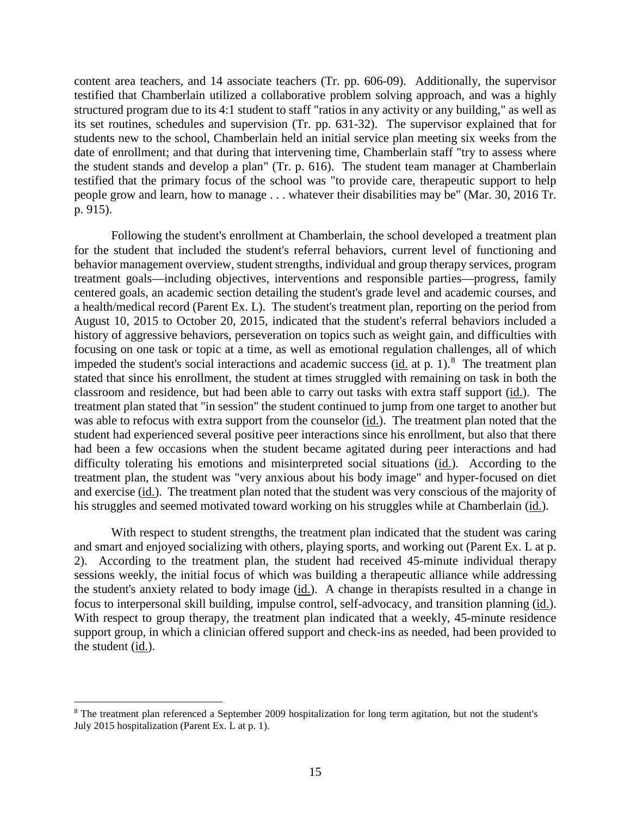content area teachers, and 14 associate teachers (Tr. pp. 606-09). Additionally, the supervisor testified that Chamberlain utilized a collaborative problem solving approach, and was a highly structured program due to its 4:1 student to staff "ratios in any activity or any building," as well as its set routines, schedules and supervision (Tr. pp. 631-32). The supervisor explained that for students new to the school, Chamberlain held an initial service plan meeting six weeks from the date of enrollment; and that during that intervening time, Chamberlain staff "try to assess where the student stands and develop a plan" (Tr. p. 616). The student team manager at Chamberlain testified that the primary focus of the school was "to provide care, therapeutic support to help people grow and learn, how to manage . . . whatever their disabilities may be" (Mar. 30, 2016 Tr. p. 915).

Following the student's enrollment at Chamberlain, the school developed a treatment plan for the student that included the student's referral behaviors, current level of functioning and behavior management overview, student strengths, individual and group therapy services, program treatment goals—including objectives, interventions and responsible parties—progress, family centered goals, an academic section detailing the student's grade level and academic courses, and a health/medical record (Parent Ex. L). The student's treatment plan, reporting on the period from August 10, 2015 to October 20, 2015, indicated that the student's referral behaviors included a history of aggressive behaviors, perseveration on topics such as weight gain, and difficulties with focusing on one task or topic at a time, as well as emotional regulation challenges, all of which impeded the student's social interactions and academic success (id. at p. 1).<sup>8</sup> The treatment plan stated that since his enrollment, the student at times struggled with remaining on task in both the classroom and residence, but had been able to carry out tasks with extra staff support (id.). The treatment plan stated that "in session" the student continued to jump from one target to another but was able to refocus with extra support from the counselor (id.). The treatment plan noted that the student had experienced several positive peer interactions since his enrollment, but also that there had been a few occasions when the student became agitated during peer interactions and had difficulty tolerating his emotions and misinterpreted social situations (id.). According to the treatment plan, the student was "very anxious about his body image" and hyper-focused on diet and exercise (id.). The treatment plan noted that the student was very conscious of the majority of his struggles and seemed motivated toward working on his struggles while at Chamberlain (id.).

With respect to student strengths, the treatment plan indicated that the student was caring and smart and enjoyed socializing with others, playing sports, and working out (Parent Ex. L at p. 2). According to the treatment plan, the student had received 45-minute individual therapy sessions weekly, the initial focus of which was building a therapeutic alliance while addressing the student's anxiety related to body image (id.). A change in therapists resulted in a change in focus to interpersonal skill building, impulse control, self-advocacy, and transition planning (id.). With respect to group therapy, the treatment plan indicated that a weekly, 45-minute residence support group, in which a clinician offered support and check-ins as needed, had been provided to the student (id.).

 <sup>8</sup> The treatment plan referenced a September 2009 hospitalization for long term agitation, but not the student's July 2015 hospitalization (Parent Ex. L at p. 1).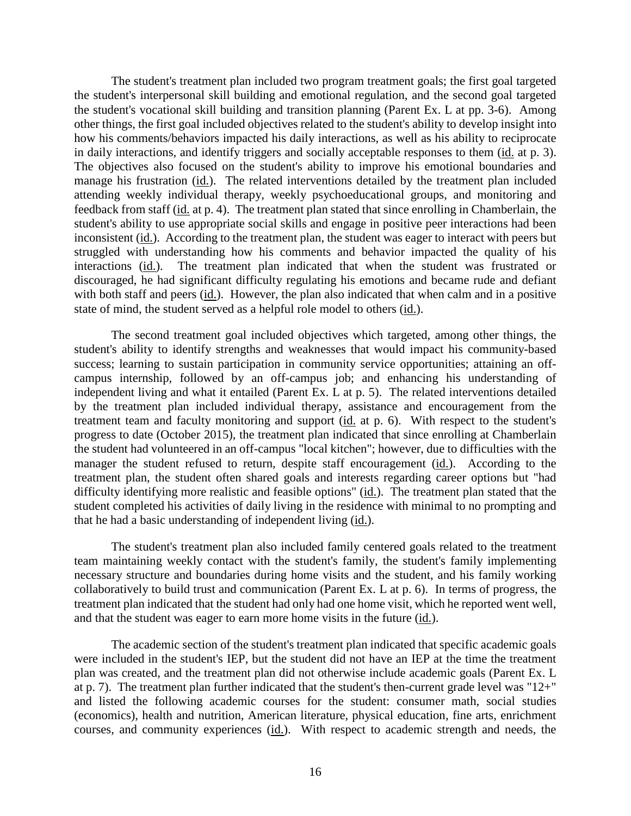The student's treatment plan included two program treatment goals; the first goal targeted the student's interpersonal skill building and emotional regulation, and the second goal targeted the student's vocational skill building and transition planning (Parent Ex. L at pp. 3-6). Among other things, the first goal included objectives related to the student's ability to develop insight into how his comments/behaviors impacted his daily interactions, as well as his ability to reciprocate in daily interactions, and identify triggers and socially acceptable responses to them (id. at p. 3). The objectives also focused on the student's ability to improve his emotional boundaries and manage his frustration (id.). The related interventions detailed by the treatment plan included attending weekly individual therapy, weekly psychoeducational groups, and monitoring and feedback from staff (id. at p. 4). The treatment plan stated that since enrolling in Chamberlain, the student's ability to use appropriate social skills and engage in positive peer interactions had been inconsistent (id.). According to the treatment plan, the student was eager to interact with peers but struggled with understanding how his comments and behavior impacted the quality of his interactions (id.). The treatment plan indicated that when the student was frustrated or discouraged, he had significant difficulty regulating his emotions and became rude and defiant with both staff and peers (id.). However, the plan also indicated that when calm and in a positive state of mind, the student served as a helpful role model to others (id.).

The second treatment goal included objectives which targeted, among other things, the student's ability to identify strengths and weaknesses that would impact his community-based success; learning to sustain participation in community service opportunities; attaining an offcampus internship, followed by an off-campus job; and enhancing his understanding of independent living and what it entailed (Parent Ex. L at p. 5). The related interventions detailed by the treatment plan included individual therapy, assistance and encouragement from the treatment team and faculty monitoring and support (id. at p. 6). With respect to the student's progress to date (October 2015), the treatment plan indicated that since enrolling at Chamberlain the student had volunteered in an off-campus "local kitchen"; however, due to difficulties with the manager the student refused to return, despite staff encouragement (id.). According to the treatment plan, the student often shared goals and interests regarding career options but "had difficulty identifying more realistic and feasible options" (id.). The treatment plan stated that the student completed his activities of daily living in the residence with minimal to no prompting and that he had a basic understanding of independent living (id.).

The student's treatment plan also included family centered goals related to the treatment team maintaining weekly contact with the student's family, the student's family implementing necessary structure and boundaries during home visits and the student, and his family working collaboratively to build trust and communication (Parent Ex. L at p. 6). In terms of progress, the treatment plan indicated that the student had only had one home visit, which he reported went well, and that the student was eager to earn more home visits in the future (id.).

The academic section of the student's treatment plan indicated that specific academic goals were included in the student's IEP, but the student did not have an IEP at the time the treatment plan was created, and the treatment plan did not otherwise include academic goals (Parent Ex. L at p. 7). The treatment plan further indicated that the student's then-current grade level was "12+" and listed the following academic courses for the student: consumer math, social studies (economics), health and nutrition, American literature, physical education, fine arts, enrichment courses, and community experiences (id.). With respect to academic strength and needs, the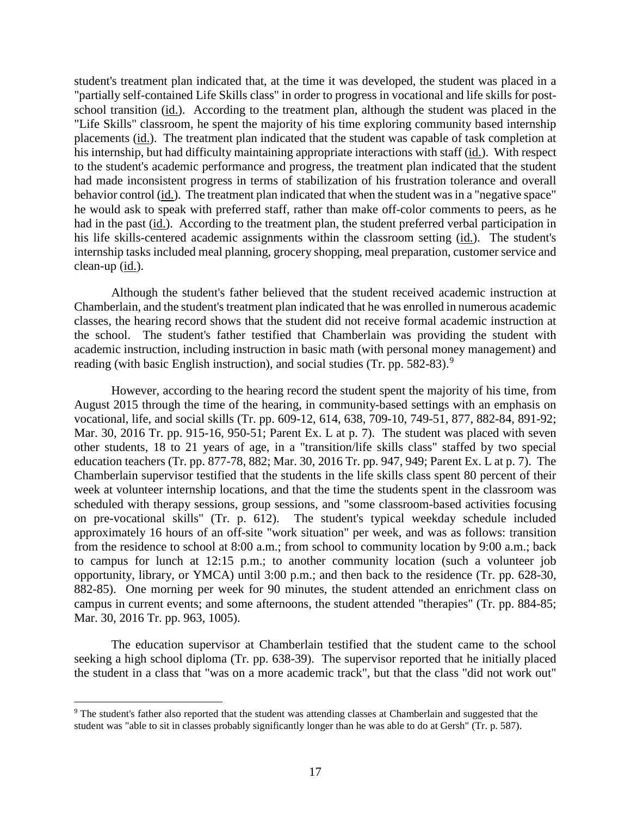student's treatment plan indicated that, at the time it was developed, the student was placed in a "partially self-contained Life Skills class" in order to progress in vocational and life skills for postschool transition (id.). According to the treatment plan, although the student was placed in the "Life Skills" classroom, he spent the majority of his time exploring community based internship placements (id.). The treatment plan indicated that the student was capable of task completion at his internship, but had difficulty maintaining appropriate interactions with staff (id.). With respect to the student's academic performance and progress, the treatment plan indicated that the student had made inconsistent progress in terms of stabilization of his frustration tolerance and overall behavior control (id.). The treatment plan indicated that when the student was in a "negative space" he would ask to speak with preferred staff, rather than make off-color comments to peers, as he had in the past (id.). According to the treatment plan, the student preferred verbal participation in his life skills-centered academic assignments within the classroom setting (id.). The student's internship tasks included meal planning, grocery shopping, meal preparation, customer service and clean-up (id.).

Although the student's father believed that the student received academic instruction at Chamberlain, and the student's treatment plan indicated that he was enrolled in numerous academic classes, the hearing record shows that the student did not receive formal academic instruction at the school. The student's father testified that Chamberlain was providing the student with academic instruction, including instruction in basic math (with personal money management) and reading (with basic English instruction), and social studies (Tr. pp. 582-83).<sup>9</sup>

However, according to the hearing record the student spent the majority of his time, from August 2015 through the time of the hearing, in community-based settings with an emphasis on vocational, life, and social skills (Tr. pp. 609-12, 614, 638, 709-10, 749-51, 877, 882-84, 891-92; Mar. 30, 2016 Tr. pp. 915-16, 950-51; Parent Ex. L at p. 7). The student was placed with seven other students, 18 to 21 years of age, in a "transition/life skills class" staffed by two special education teachers (Tr. pp. 877-78, 882; Mar. 30, 2016 Tr. pp. 947, 949; Parent Ex. L at p. 7). The Chamberlain supervisor testified that the students in the life skills class spent 80 percent of their week at volunteer internship locations, and that the time the students spent in the classroom was scheduled with therapy sessions, group sessions, and "some classroom-based activities focusing on pre-vocational skills" (Tr. p. 612). The student's typical weekday schedule included approximately 16 hours of an off-site "work situation" per week, and was as follows: transition from the residence to school at 8:00 a.m.; from school to community location by 9:00 a.m.; back to campus for lunch at 12:15 p.m.; to another community location (such a volunteer job opportunity, library, or YMCA) until 3:00 p.m.; and then back to the residence (Tr. pp. 628-30, 882-85). One morning per week for 90 minutes, the student attended an enrichment class on campus in current events; and some afternoons, the student attended "therapies" (Tr. pp. 884-85; Mar. 30, 2016 Tr. pp. 963, 1005).

The education supervisor at Chamberlain testified that the student came to the school seeking a high school diploma (Tr. pp. 638-39). The supervisor reported that he initially placed the student in a class that "was on a more academic track", but that the class "did not work out"

<sup>&</sup>lt;sup>9</sup> The student's father also reported that the student was attending classes at Chamberlain and suggested that the student was "able to sit in classes probably significantly longer than he was able to do at Gersh" (Tr. p. 587).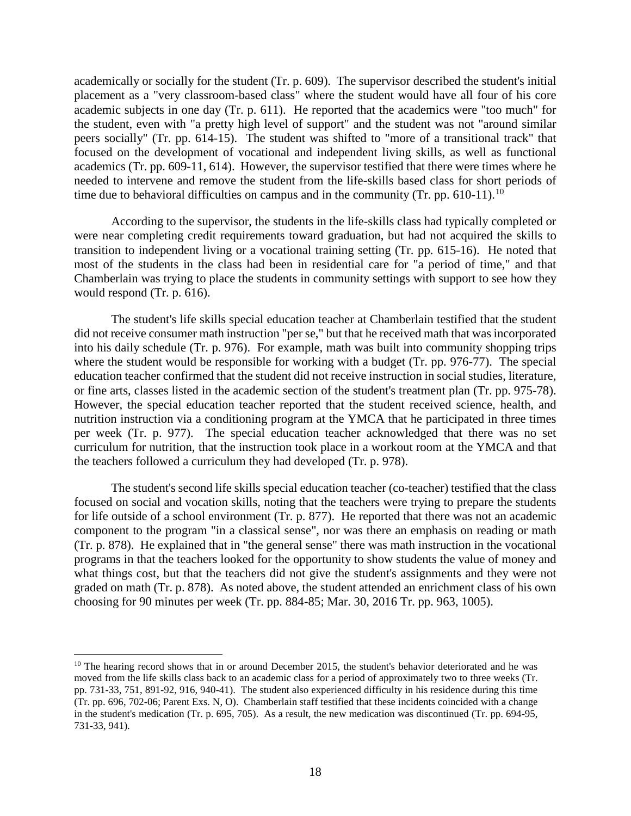academically or socially for the student (Tr. p. 609). The supervisor described the student's initial placement as a "very classroom-based class" where the student would have all four of his core academic subjects in one day (Tr. p. 611). He reported that the academics were "too much" for the student, even with "a pretty high level of support" and the student was not "around similar peers socially" (Tr. pp. 614-15). The student was shifted to "more of a transitional track" that focused on the development of vocational and independent living skills, as well as functional academics (Tr. pp. 609-11, 614). However, the supervisor testified that there were times where he needed to intervene and remove the student from the life-skills based class for short periods of time due to behavioral difficulties on campus and in the community (Tr. pp. 610-11).<sup>10</sup>

According to the supervisor, the students in the life-skills class had typically completed or were near completing credit requirements toward graduation, but had not acquired the skills to transition to independent living or a vocational training setting (Tr. pp. 615-16). He noted that most of the students in the class had been in residential care for "a period of time," and that Chamberlain was trying to place the students in community settings with support to see how they would respond (Tr. p. 616).

The student's life skills special education teacher at Chamberlain testified that the student did not receive consumer math instruction "per se," but that he received math that was incorporated into his daily schedule (Tr. p. 976). For example, math was built into community shopping trips where the student would be responsible for working with a budget (Tr. pp. 976-77). The special education teacher confirmed that the student did not receive instruction in social studies, literature, or fine arts, classes listed in the academic section of the student's treatment plan (Tr. pp. 975-78). However, the special education teacher reported that the student received science, health, and nutrition instruction via a conditioning program at the YMCA that he participated in three times per week (Tr. p. 977). The special education teacher acknowledged that there was no set curriculum for nutrition, that the instruction took place in a workout room at the YMCA and that the teachers followed a curriculum they had developed (Tr. p. 978).

The student's second life skills special education teacher (co-teacher) testified that the class focused on social and vocation skills, noting that the teachers were trying to prepare the students for life outside of a school environment (Tr. p. 877). He reported that there was not an academic component to the program "in a classical sense", nor was there an emphasis on reading or math (Tr. p. 878). He explained that in "the general sense" there was math instruction in the vocational programs in that the teachers looked for the opportunity to show students the value of money and what things cost, but that the teachers did not give the student's assignments and they were not graded on math (Tr. p. 878). As noted above, the student attended an enrichment class of his own choosing for 90 minutes per week (Tr. pp. 884-85; Mar. 30, 2016 Tr. pp. 963, 1005).

 $10$  The hearing record shows that in or around December 2015, the student's behavior deteriorated and he was moved from the life skills class back to an academic class for a period of approximately two to three weeks (Tr. pp. 731-33, 751, 891-92, 916, 940-41). The student also experienced difficulty in his residence during this time (Tr. pp. 696, 702-06; Parent Exs. N, O). Chamberlain staff testified that these incidents coincided with a change in the student's medication (Tr. p. 695, 705). As a result, the new medication was discontinued (Tr. pp. 694-95, 731-33, 941).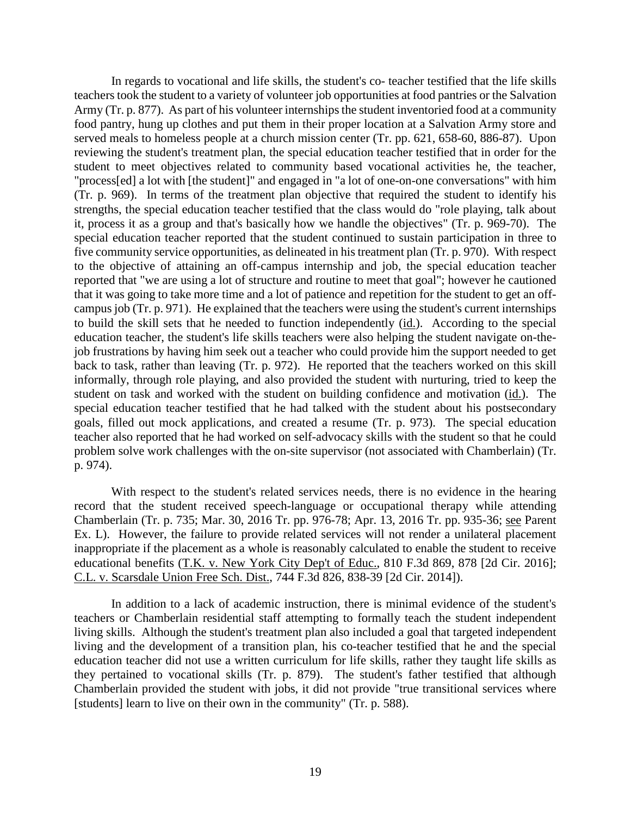In regards to vocational and life skills, the student's co- teacher testified that the life skills teachers took the student to a variety of volunteer job opportunities at food pantries or the Salvation Army (Tr. p. 877). As part of his volunteer internships the student inventoried food at a community food pantry, hung up clothes and put them in their proper location at a Salvation Army store and served meals to homeless people at a church mission center (Tr. pp. 621, 658-60, 886-87). Upon reviewing the student's treatment plan, the special education teacher testified that in order for the student to meet objectives related to community based vocational activities he, the teacher, "process[ed] a lot with [the student]" and engaged in "a lot of one-on-one conversations" with him (Tr. p. 969). In terms of the treatment plan objective that required the student to identify his strengths, the special education teacher testified that the class would do "role playing, talk about it, process it as a group and that's basically how we handle the objectives" (Tr. p. 969-70). The special education teacher reported that the student continued to sustain participation in three to five community service opportunities, as delineated in his treatment plan (Tr. p. 970). With respect to the objective of attaining an off-campus internship and job, the special education teacher reported that "we are using a lot of structure and routine to meet that goal"; however he cautioned that it was going to take more time and a lot of patience and repetition for the student to get an offcampus job (Tr. p. 971). He explained that the teachers were using the student's current internships to build the skill sets that he needed to function independently (id.). According to the special education teacher, the student's life skills teachers were also helping the student navigate on-thejob frustrations by having him seek out a teacher who could provide him the support needed to get back to task, rather than leaving (Tr. p. 972). He reported that the teachers worked on this skill informally, through role playing, and also provided the student with nurturing, tried to keep the student on task and worked with the student on building confidence and motivation (id.). The special education teacher testified that he had talked with the student about his postsecondary goals, filled out mock applications, and created a resume (Tr. p. 973). The special education teacher also reported that he had worked on self-advocacy skills with the student so that he could problem solve work challenges with the on-site supervisor (not associated with Chamberlain) (Tr. p. 974).

With respect to the student's related services needs, there is no evidence in the hearing record that the student received speech-language or occupational therapy while attending Chamberlain (Tr. p. 735; Mar. 30, 2016 Tr. pp. 976-78; Apr. 13, 2016 Tr. pp. 935-36; see Parent Ex. L). However, the failure to provide related services will not render a unilateral placement inappropriate if the placement as a whole is reasonably calculated to enable the student to receive educational benefits (T.K. v. New York City Dep't of Educ., 810 F.3d 869, 878 [2d Cir. 2016]; C.L. v. Scarsdale Union Free Sch. Dist., 744 F.3d 826, 838-39 [2d Cir. 2014]).

In addition to a lack of academic instruction, there is minimal evidence of the student's teachers or Chamberlain residential staff attempting to formally teach the student independent living skills. Although the student's treatment plan also included a goal that targeted independent living and the development of a transition plan, his co-teacher testified that he and the special education teacher did not use a written curriculum for life skills, rather they taught life skills as they pertained to vocational skills (Tr. p. 879). The student's father testified that although Chamberlain provided the student with jobs, it did not provide "true transitional services where [students] learn to live on their own in the community" (Tr. p. 588).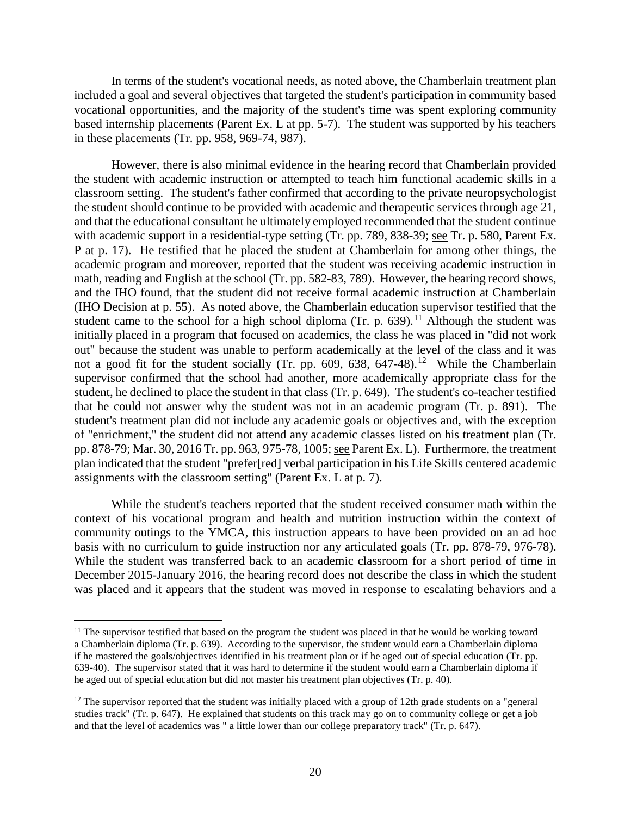In terms of the student's vocational needs, as noted above, the Chamberlain treatment plan included a goal and several objectives that targeted the student's participation in community based vocational opportunities, and the majority of the student's time was spent exploring community based internship placements (Parent Ex. L at pp. 5-7). The student was supported by his teachers in these placements (Tr. pp. 958, 969-74, 987).

However, there is also minimal evidence in the hearing record that Chamberlain provided the student with academic instruction or attempted to teach him functional academic skills in a classroom setting. The student's father confirmed that according to the private neuropsychologist the student should continue to be provided with academic and therapeutic services through age 21, and that the educational consultant he ultimately employed recommended that the student continue with academic support in a residential-type setting (Tr. pp. 789, 838-39; see Tr. p. 580, Parent Ex. P at p. 17). He testified that he placed the student at Chamberlain for among other things, the academic program and moreover, reported that the student was receiving academic instruction in math, reading and English at the school (Tr. pp. 582-83, 789). However, the hearing record shows, and the IHO found, that the student did not receive formal academic instruction at Chamberlain (IHO Decision at p. 55). As noted above, the Chamberlain education supervisor testified that the student came to the school for a high school diploma (Tr. p. 639).<sup>11</sup> Although the student was initially placed in a program that focused on academics, the class he was placed in "did not work out" because the student was unable to perform academically at the level of the class and it was not a good fit for the student socially (Tr. pp. 609, 638, 647-48).<sup>12</sup> While the Chamberlain supervisor confirmed that the school had another, more academically appropriate class for the student, he declined to place the student in that class (Tr. p. 649). The student's co-teacher testified that he could not answer why the student was not in an academic program (Tr. p. 891). The student's treatment plan did not include any academic goals or objectives and, with the exception of "enrichment," the student did not attend any academic classes listed on his treatment plan (Tr. pp. 878-79; Mar. 30, 2016 Tr. pp. 963, 975-78, 1005; see Parent Ex. L). Furthermore, the treatment plan indicated that the student "prefer[red] verbal participation in his Life Skills centered academic assignments with the classroom setting" (Parent Ex. L at p. 7).

While the student's teachers reported that the student received consumer math within the context of his vocational program and health and nutrition instruction within the context of community outings to the YMCA, this instruction appears to have been provided on an ad hoc basis with no curriculum to guide instruction nor any articulated goals (Tr. pp. 878-79, 976-78). While the student was transferred back to an academic classroom for a short period of time in December 2015-January 2016, the hearing record does not describe the class in which the student was placed and it appears that the student was moved in response to escalating behaviors and a

<sup>&</sup>lt;sup>11</sup> The supervisor testified that based on the program the student was placed in that he would be working toward a Chamberlain diploma (Tr. p. 639). According to the supervisor, the student would earn a Chamberlain diploma if he mastered the goals/objectives identified in his treatment plan or if he aged out of special education (Tr. pp. 639-40). The supervisor stated that it was hard to determine if the student would earn a Chamberlain diploma if he aged out of special education but did not master his treatment plan objectives (Tr. p. 40).

 $12$  The supervisor reported that the student was initially placed with a group of 12th grade students on a "general" studies track" (Tr. p. 647). He explained that students on this track may go on to community college or get a job and that the level of academics was " a little lower than our college preparatory track" (Tr. p. 647).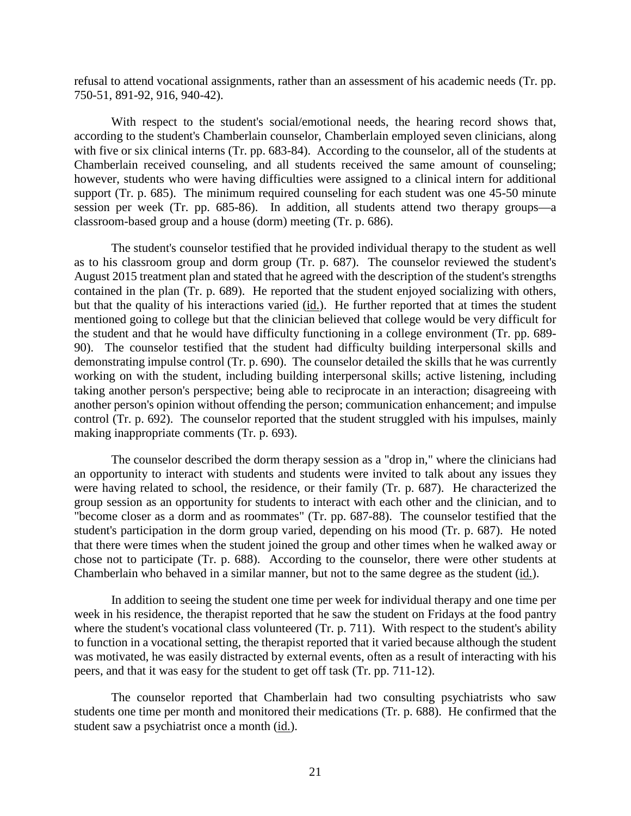refusal to attend vocational assignments, rather than an assessment of his academic needs (Tr. pp. 750-51, 891-92, 916, 940-42).

With respect to the student's social/emotional needs, the hearing record shows that, according to the student's Chamberlain counselor, Chamberlain employed seven clinicians, along with five or six clinical interns (Tr. pp. 683-84). According to the counselor, all of the students at Chamberlain received counseling, and all students received the same amount of counseling; however, students who were having difficulties were assigned to a clinical intern for additional support (Tr. p. 685). The minimum required counseling for each student was one 45-50 minute session per week (Tr. pp. 685-86). In addition, all students attend two therapy groups—a classroom-based group and a house (dorm) meeting (Tr. p. 686).

The student's counselor testified that he provided individual therapy to the student as well as to his classroom group and dorm group (Tr. p. 687). The counselor reviewed the student's August 2015 treatment plan and stated that he agreed with the description of the student's strengths contained in the plan (Tr. p. 689). He reported that the student enjoyed socializing with others, but that the quality of his interactions varied (id.). He further reported that at times the student mentioned going to college but that the clinician believed that college would be very difficult for the student and that he would have difficulty functioning in a college environment (Tr. pp. 689- 90). The counselor testified that the student had difficulty building interpersonal skills and demonstrating impulse control (Tr. p. 690). The counselor detailed the skills that he was currently working on with the student, including building interpersonal skills; active listening, including taking another person's perspective; being able to reciprocate in an interaction; disagreeing with another person's opinion without offending the person; communication enhancement; and impulse control (Tr. p. 692). The counselor reported that the student struggled with his impulses, mainly making inappropriate comments (Tr. p. 693).

The counselor described the dorm therapy session as a "drop in," where the clinicians had an opportunity to interact with students and students were invited to talk about any issues they were having related to school, the residence, or their family (Tr. p. 687). He characterized the group session as an opportunity for students to interact with each other and the clinician, and to "become closer as a dorm and as roommates" (Tr. pp. 687-88). The counselor testified that the student's participation in the dorm group varied, depending on his mood (Tr. p. 687). He noted that there were times when the student joined the group and other times when he walked away or chose not to participate (Tr. p. 688). According to the counselor, there were other students at Chamberlain who behaved in a similar manner, but not to the same degree as the student (id.).

In addition to seeing the student one time per week for individual therapy and one time per week in his residence, the therapist reported that he saw the student on Fridays at the food pantry where the student's vocational class volunteered (Tr. p. 711). With respect to the student's ability to function in a vocational setting, the therapist reported that it varied because although the student was motivated, he was easily distracted by external events, often as a result of interacting with his peers, and that it was easy for the student to get off task (Tr. pp. 711-12).

The counselor reported that Chamberlain had two consulting psychiatrists who saw students one time per month and monitored their medications (Tr. p. 688). He confirmed that the student saw a psychiatrist once a month (id.).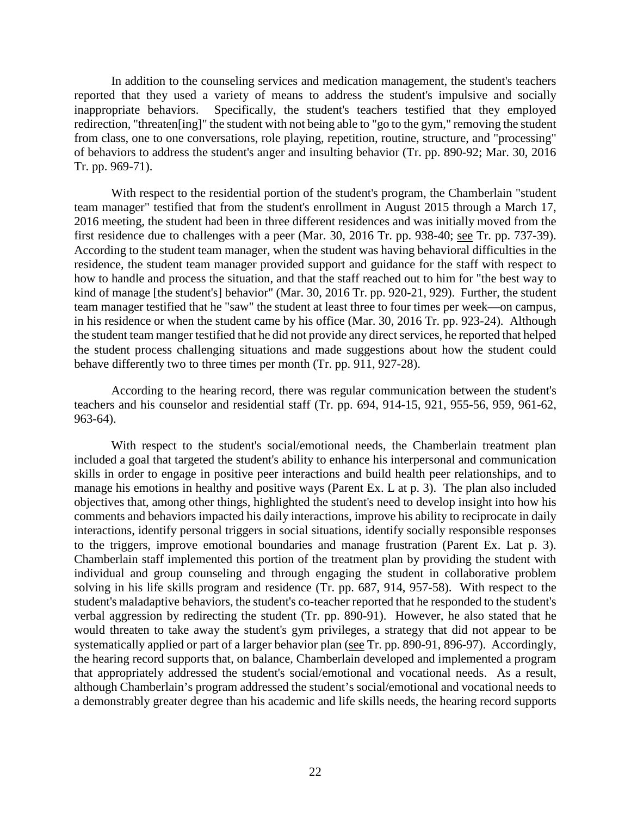In addition to the counseling services and medication management, the student's teachers reported that they used a variety of means to address the student's impulsive and socially inappropriate behaviors. Specifically, the student's teachers testified that they employed redirection, "threaten[ing]" the student with not being able to "go to the gym," removing the student from class, one to one conversations, role playing, repetition, routine, structure, and "processing" of behaviors to address the student's anger and insulting behavior (Tr. pp. 890-92; Mar. 30, 2016 Tr. pp. 969-71).

With respect to the residential portion of the student's program, the Chamberlain "student team manager" testified that from the student's enrollment in August 2015 through a March 17, 2016 meeting, the student had been in three different residences and was initially moved from the first residence due to challenges with a peer (Mar. 30, 2016 Tr. pp. 938-40; see Tr. pp. 737-39). According to the student team manager, when the student was having behavioral difficulties in the residence, the student team manager provided support and guidance for the staff with respect to how to handle and process the situation, and that the staff reached out to him for "the best way to kind of manage [the student's] behavior" (Mar. 30, 2016 Tr. pp. 920-21, 929). Further, the student team manager testified that he "saw" the student at least three to four times per week—on campus, in his residence or when the student came by his office (Mar. 30, 2016 Tr. pp. 923-24). Although the student team manger testified that he did not provide any direct services, he reported that helped the student process challenging situations and made suggestions about how the student could behave differently two to three times per month (Tr. pp. 911, 927-28).

According to the hearing record, there was regular communication between the student's teachers and his counselor and residential staff (Tr. pp. 694, 914-15, 921, 955-56, 959, 961-62, 963-64).

With respect to the student's social/emotional needs, the Chamberlain treatment plan included a goal that targeted the student's ability to enhance his interpersonal and communication skills in order to engage in positive peer interactions and build health peer relationships, and to manage his emotions in healthy and positive ways (Parent Ex. L at p. 3). The plan also included objectives that, among other things, highlighted the student's need to develop insight into how his comments and behaviors impacted his daily interactions, improve his ability to reciprocate in daily interactions, identify personal triggers in social situations, identify socially responsible responses to the triggers, improve emotional boundaries and manage frustration (Parent Ex. Lat p. 3). Chamberlain staff implemented this portion of the treatment plan by providing the student with individual and group counseling and through engaging the student in collaborative problem solving in his life skills program and residence (Tr. pp. 687, 914, 957-58). With respect to the student's maladaptive behaviors, the student's co-teacher reported that he responded to the student's verbal aggression by redirecting the student (Tr. pp. 890-91). However, he also stated that he would threaten to take away the student's gym privileges, a strategy that did not appear to be systematically applied or part of a larger behavior plan (see Tr. pp. 890-91, 896-97). Accordingly, the hearing record supports that, on balance, Chamberlain developed and implemented a program that appropriately addressed the student's social/emotional and vocational needs. As a result, although Chamberlain's program addressed the student's social/emotional and vocational needs to a demonstrably greater degree than his academic and life skills needs, the hearing record supports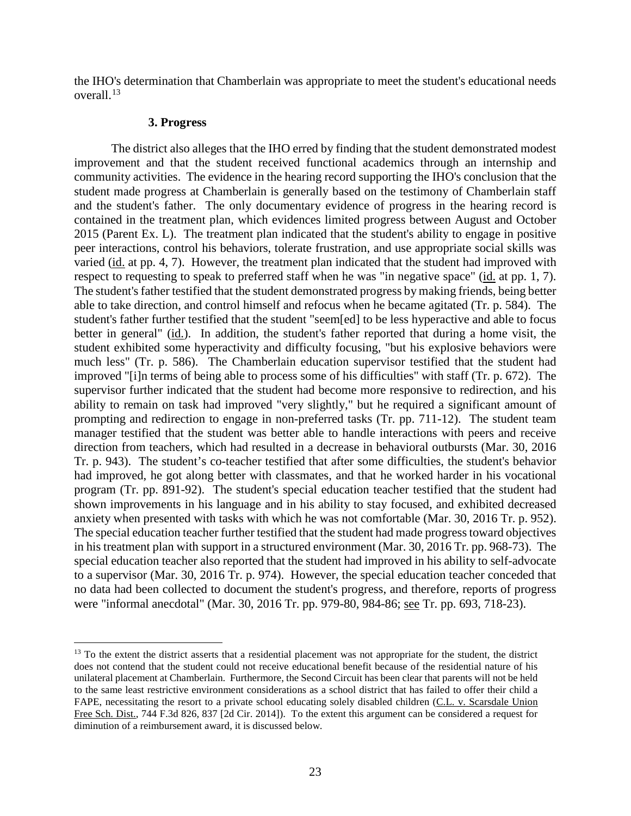the IHO's determination that Chamberlain was appropriate to meet the student's educational needs overall.<sup>13</sup>

#### **3. Progress**

The district also alleges that the IHO erred by finding that the student demonstrated modest improvement and that the student received functional academics through an internship and community activities. The evidence in the hearing record supporting the IHO's conclusion that the student made progress at Chamberlain is generally based on the testimony of Chamberlain staff and the student's father. The only documentary evidence of progress in the hearing record is contained in the treatment plan, which evidences limited progress between August and October 2015 (Parent Ex. L). The treatment plan indicated that the student's ability to engage in positive peer interactions, control his behaviors, tolerate frustration, and use appropriate social skills was varied (id. at pp. 4, 7). However, the treatment plan indicated that the student had improved with respect to requesting to speak to preferred staff when he was "in negative space" (id. at pp. 1, 7). The student's father testified that the student demonstrated progress by making friends, being better able to take direction, and control himself and refocus when he became agitated (Tr. p. 584). The student's father further testified that the student "seem[ed] to be less hyperactive and able to focus better in general" (id.). In addition, the student's father reported that during a home visit, the student exhibited some hyperactivity and difficulty focusing, "but his explosive behaviors were much less" (Tr. p. 586). The Chamberlain education supervisor testified that the student had improved "[i]n terms of being able to process some of his difficulties" with staff (Tr. p. 672). The supervisor further indicated that the student had become more responsive to redirection, and his ability to remain on task had improved "very slightly," but he required a significant amount of prompting and redirection to engage in non-preferred tasks (Tr. pp. 711-12). The student team manager testified that the student was better able to handle interactions with peers and receive direction from teachers, which had resulted in a decrease in behavioral outbursts (Mar. 30, 2016 Tr. p. 943). The student's co-teacher testified that after some difficulties, the student's behavior had improved, he got along better with classmates, and that he worked harder in his vocational program (Tr. pp. 891-92). The student's special education teacher testified that the student had shown improvements in his language and in his ability to stay focused, and exhibited decreased anxiety when presented with tasks with which he was not comfortable (Mar. 30, 2016 Tr. p. 952). The special education teacher further testified that the student had made progress toward objectives in his treatment plan with support in a structured environment (Mar. 30, 2016 Tr. pp. 968-73). The special education teacher also reported that the student had improved in his ability to self-advocate to a supervisor (Mar. 30, 2016 Tr. p. 974). However, the special education teacher conceded that no data had been collected to document the student's progress, and therefore, reports of progress were "informal anecdotal" (Mar. 30, 2016 Tr. pp. 979-80, 984-86; see Tr. pp. 693, 718-23).

<sup>&</sup>lt;sup>13</sup> To the extent the district asserts that a residential placement was not appropriate for the student, the district does not contend that the student could not receive educational benefit because of the residential nature of his unilateral placement at Chamberlain. Furthermore, the Second Circuit has been clear that parents will not be held to the same least restrictive environment considerations as a school district that has failed to offer their child a FAPE, necessitating the resort to a private school educating solely disabled children (C.L. v. Scarsdale Union Free Sch. Dist., 744 F.3d 826, 837 [2d Cir. 2014]). To the extent this argument can be considered a request for diminution of a reimbursement award, it is discussed below.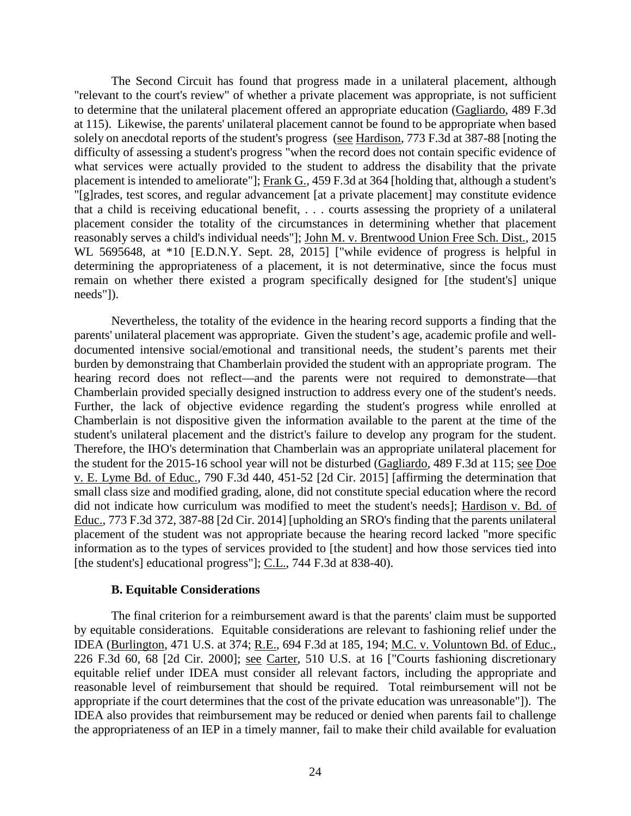The Second Circuit has found that progress made in a unilateral placement, although "relevant to the court's review" of whether a private placement was appropriate, is not sufficient to determine that the unilateral placement offered an appropriate education (Gagliardo, 489 F.3d at 115). Likewise, the parents' unilateral placement cannot be found to be appropriate when based solely on anecdotal reports of the student's progress (see Hardison, 773 F.3d at 387-88 [noting the difficulty of assessing a student's progress "when the record does not contain specific evidence of what services were actually provided to the student to address the disability that the private placement is intended to ameliorate"]; Frank G., 459 F.3d at 364 [holding that, although a student's "[g]rades, test scores, and regular advancement [at a private placement] may constitute evidence that a child is receiving educational benefit, . . . courts assessing the propriety of a unilateral placement consider the totality of the circumstances in determining whether that placement reasonably serves a child's individual needs"]; John M. v. Brentwood Union Free Sch. Dist., 2015 WL 5695648, at \*10 [E.D.N.Y. Sept. 28, 2015] ["while evidence of progress is helpful in determining the appropriateness of a placement, it is not determinative, since the focus must remain on whether there existed a program specifically designed for [the student's] unique needs"]).

Nevertheless, the totality of the evidence in the hearing record supports a finding that the parents' unilateral placement was appropriate. Given the student's age, academic profile and welldocumented intensive social/emotional and transitional needs, the student's parents met their burden by demonstraing that Chamberlain provided the student with an appropriate program. The hearing record does not reflect—and the parents were not required to demonstrate—that Chamberlain provided specially designed instruction to address every one of the student's needs. Further, the lack of objective evidence regarding the student's progress while enrolled at Chamberlain is not dispositive given the information available to the parent at the time of the student's unilateral placement and the district's failure to develop any program for the student. Therefore, the IHO's determination that Chamberlain was an appropriate unilateral placement for the student for the 2015-16 school year will not be disturbed (Gagliardo, 489 F.3d at 115; see Doe v. E. Lyme Bd. of Educ., 790 F.3d 440, 451-52 [2d Cir. 2015] [affirming the determination that small class size and modified grading, alone, did not constitute special education where the record did not indicate how curriculum was modified to meet the student's needs]; Hardison v. Bd. of Educ., 773 F.3d 372, 387-88 [2d Cir. 2014] [upholding an SRO's finding that the parents unilateral placement of the student was not appropriate because the hearing record lacked "more specific information as to the types of services provided to [the student] and how those services tied into [the student's] educational progress"]; C.L., 744 F.3d at 838-40).

#### **B. Equitable Considerations**

The final criterion for a reimbursement award is that the parents' claim must be supported by equitable considerations. Equitable considerations are relevant to fashioning relief under the IDEA (Burlington, 471 U.S. at 374; R.E., 694 F.3d at 185, 194; M.C. v. Voluntown Bd. of Educ., 226 F.3d 60, 68 [2d Cir. 2000]; see Carter, 510 U.S. at 16 ["Courts fashioning discretionary equitable relief under IDEA must consider all relevant factors, including the appropriate and reasonable level of reimbursement that should be required. Total reimbursement will not be appropriate if the court determines that the cost of the private education was unreasonable"]). The IDEA also provides that reimbursement may be reduced or denied when parents fail to challenge the appropriateness of an IEP in a timely manner, fail to make their child available for evaluation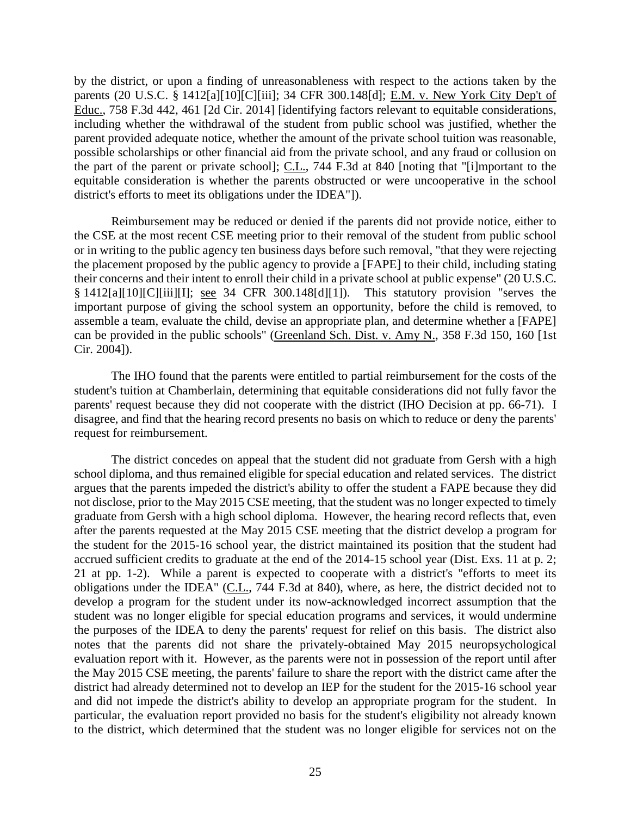by the district, or upon a finding of unreasonableness with respect to the actions taken by the parents (20 U.S.C. § 1412[a][10][C][iii]; 34 CFR 300.148[d]; E.M. v. New York City Dep't of Educ., 758 F.3d 442, 461 [2d Cir. 2014] [identifying factors relevant to equitable considerations, including whether the withdrawal of the student from public school was justified, whether the parent provided adequate notice, whether the amount of the private school tuition was reasonable, possible scholarships or other financial aid from the private school, and any fraud or collusion on the part of the parent or private school]; C.L., 744 F.3d at 840 [noting that "[i]mportant to the equitable consideration is whether the parents obstructed or were uncooperative in the school district's efforts to meet its obligations under the IDEA"]).

Reimbursement may be reduced or denied if the parents did not provide notice, either to the CSE at the most recent CSE meeting prior to their removal of the student from public school or in writing to the public agency ten business days before such removal, "that they were rejecting the placement proposed by the public agency to provide a [FAPE] to their child, including stating their concerns and their intent to enroll their child in a private school at public expense" (20 U.S.C. § 1412[a][10][C][iii][I]; see 34 CFR 300.148[d][1]). This statutory provision "serves the important purpose of giving the school system an opportunity, before the child is removed, to assemble a team, evaluate the child, devise an appropriate plan, and determine whether a [FAPE] can be provided in the public schools" (Greenland Sch. Dist. v. Amy N., 358 F.3d 150, 160 [1st Cir. 2004]).

The IHO found that the parents were entitled to partial reimbursement for the costs of the student's tuition at Chamberlain, determining that equitable considerations did not fully favor the parents' request because they did not cooperate with the district (IHO Decision at pp. 66-71). I disagree, and find that the hearing record presents no basis on which to reduce or deny the parents' request for reimbursement.

The district concedes on appeal that the student did not graduate from Gersh with a high school diploma, and thus remained eligible for special education and related services. The district argues that the parents impeded the district's ability to offer the student a FAPE because they did not disclose, prior to the May 2015 CSE meeting, that the student was no longer expected to timely graduate from Gersh with a high school diploma. However, the hearing record reflects that, even after the parents requested at the May 2015 CSE meeting that the district develop a program for the student for the 2015-16 school year, the district maintained its position that the student had accrued sufficient credits to graduate at the end of the 2014-15 school year (Dist. Exs. 11 at p. 2; 21 at pp. 1-2). While a parent is expected to cooperate with a district's "efforts to meet its obligations under the IDEA" (C.L., 744 F.3d at 840), where, as here, the district decided not to develop a program for the student under its now-acknowledged incorrect assumption that the student was no longer eligible for special education programs and services, it would undermine the purposes of the IDEA to deny the parents' request for relief on this basis. The district also notes that the parents did not share the privately-obtained May 2015 neuropsychological evaluation report with it. However, as the parents were not in possession of the report until after the May 2015 CSE meeting, the parents' failure to share the report with the district came after the district had already determined not to develop an IEP for the student for the 2015-16 school year and did not impede the district's ability to develop an appropriate program for the student. In particular, the evaluation report provided no basis for the student's eligibility not already known to the district, which determined that the student was no longer eligible for services not on the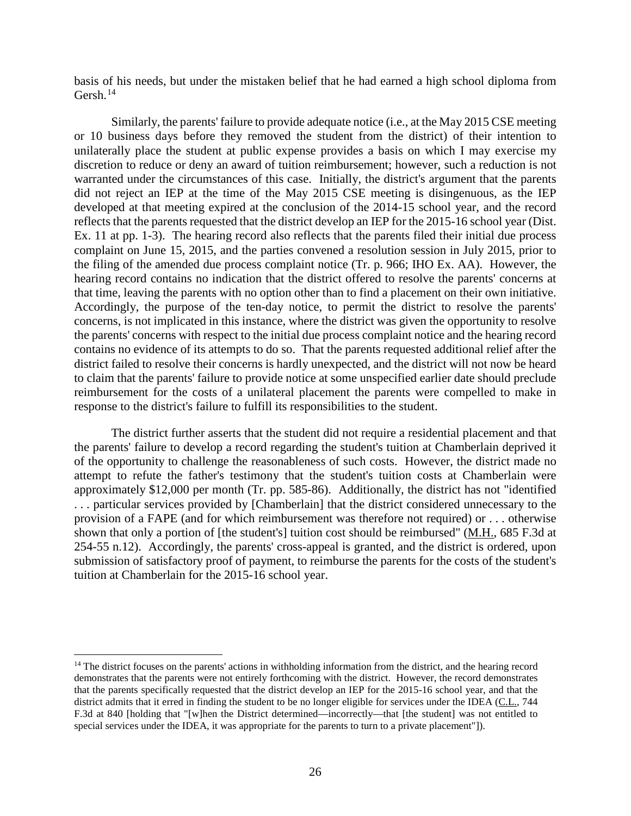basis of his needs, but under the mistaken belief that he had earned a high school diploma from Gersh. $^{14}$ 

Similarly, the parents' failure to provide adequate notice (i.e., at the May 2015 CSE meeting or 10 business days before they removed the student from the district) of their intention to unilaterally place the student at public expense provides a basis on which I may exercise my discretion to reduce or deny an award of tuition reimbursement; however, such a reduction is not warranted under the circumstances of this case. Initially, the district's argument that the parents did not reject an IEP at the time of the May 2015 CSE meeting is disingenuous, as the IEP developed at that meeting expired at the conclusion of the 2014-15 school year, and the record reflects that the parents requested that the district develop an IEP for the 2015-16 school year (Dist. Ex. 11 at pp. 1-3). The hearing record also reflects that the parents filed their initial due process complaint on June 15, 2015, and the parties convened a resolution session in July 2015, prior to the filing of the amended due process complaint notice (Tr. p. 966; IHO Ex. AA). However, the hearing record contains no indication that the district offered to resolve the parents' concerns at that time, leaving the parents with no option other than to find a placement on their own initiative. Accordingly, the purpose of the ten-day notice, to permit the district to resolve the parents' concerns, is not implicated in this instance, where the district was given the opportunity to resolve the parents' concerns with respect to the initial due process complaint notice and the hearing record contains no evidence of its attempts to do so. That the parents requested additional relief after the district failed to resolve their concerns is hardly unexpected, and the district will not now be heard to claim that the parents' failure to provide notice at some unspecified earlier date should preclude reimbursement for the costs of a unilateral placement the parents were compelled to make in response to the district's failure to fulfill its responsibilities to the student.

The district further asserts that the student did not require a residential placement and that the parents' failure to develop a record regarding the student's tuition at Chamberlain deprived it of the opportunity to challenge the reasonableness of such costs. However, the district made no attempt to refute the father's testimony that the student's tuition costs at Chamberlain were approximately \$12,000 per month (Tr. pp. 585-86). Additionally, the district has not "identified . . . particular services provided by [Chamberlain] that the district considered unnecessary to the provision of a FAPE (and for which reimbursement was therefore not required) or . . . otherwise shown that only a portion of [the student's] tuition cost should be reimbursed" (M.H., 685 F.3d at 254-55 n.12). Accordingly, the parents' cross-appeal is granted, and the district is ordered, upon submission of satisfactory proof of payment, to reimburse the parents for the costs of the student's tuition at Chamberlain for the 2015-16 school year.

<sup>&</sup>lt;sup>14</sup> The district focuses on the parents' actions in withholding information from the district, and the hearing record demonstrates that the parents were not entirely forthcoming with the district. However, the record demonstrates that the parents specifically requested that the district develop an IEP for the 2015-16 school year, and that the district admits that it erred in finding the student to be no longer eligible for services under the IDEA (C.L., 744 F.3d at 840 [holding that "[w]hen the District determined—incorrectly—that [the student] was not entitled to special services under the IDEA, it was appropriate for the parents to turn to a private placement"]).